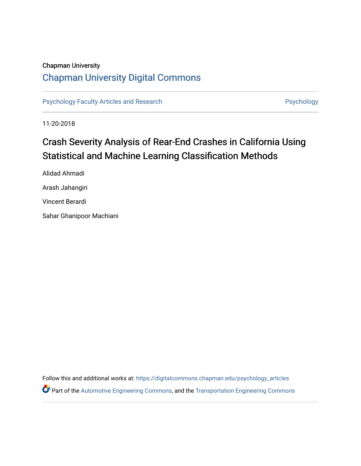#### Chapman University

# [Chapman University Digital Commons](https://digitalcommons.chapman.edu/)

[Psychology Faculty Articles and Research](https://digitalcommons.chapman.edu/psychology_articles) **Psychology** Psychology

11-20-2018

# Crash Severity Analysis of Rear-End Crashes in California Using Statistical and Machine Learning Classification Methods

Alidad Ahmadi Arash Jahangiri Vincent Berardi Sahar Ghanipoor Machiani

Follow this and additional works at: [https://digitalcommons.chapman.edu/psychology\\_articles](https://digitalcommons.chapman.edu/psychology_articles?utm_source=digitalcommons.chapman.edu%2Fpsychology_articles%2F281&utm_medium=PDF&utm_campaign=PDFCoverPages) **P** Part of the [Automotive Engineering Commons,](http://network.bepress.com/hgg/discipline/1319?utm_source=digitalcommons.chapman.edu%2Fpsychology_articles%2F281&utm_medium=PDF&utm_campaign=PDFCoverPages) and the Transportation Engineering Commons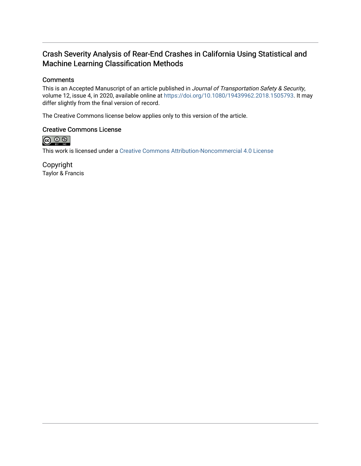## Crash Severity Analysis of Rear-End Crashes in California Using Statistical and Machine Learning Classification Methods

### **Comments**

This is an Accepted Manuscript of an article published in Journal of Transportation Safety & Security, volume 12, issue 4, in 2020, available online at<https://doi.org/10.1080/19439962.2018.1505793>. It may differ slightly from the final version of record.

The Creative Commons license below applies only to this version of the article.

#### Creative Commons License



This work is licensed under a [Creative Commons Attribution-Noncommercial 4.0 License](https://creativecommons.org/licenses/by-nc/4.0/) 

Copyright Taylor & Francis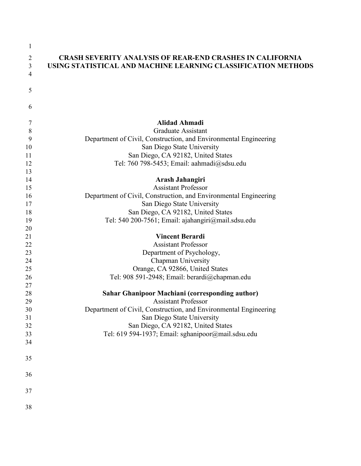| 1              |                                                                  |
|----------------|------------------------------------------------------------------|
| $\overline{2}$ | <b>CRASH SEVERITY ANALYSIS OF REAR-END CRASHES IN CALIFORNIA</b> |
| 3              | USING STATISTICAL AND MACHINE LEARNING CLASSIFICATION METHODS    |
| $\overline{4}$ |                                                                  |
|                |                                                                  |
| 5              |                                                                  |
|                |                                                                  |
| 6              |                                                                  |
| 7              | <b>Alidad Ahmadi</b>                                             |
| 8              | <b>Graduate Assistant</b>                                        |
| 9              | Department of Civil, Construction, and Environmental Engineering |
| 10             | San Diego State University                                       |
| 11             | San Diego, CA 92182, United States                               |
| 12             | Tel: 760 798-5453; Email: aahmadi@sdsu.edu                       |
| 13             |                                                                  |
| 14             | Arash Jahangiri                                                  |
| 15             | <b>Assistant Professor</b>                                       |
| 16             | Department of Civil, Construction, and Environmental Engineering |
| 17             | San Diego State University                                       |
| 18             | San Diego, CA 92182, United States                               |
| 19             | Tel: 540 200-7561; Email: ajahangiri@mail.sdsu.edu               |
| 20             |                                                                  |
| 21             | <b>Vincent Berardi</b>                                           |
| 22             | <b>Assistant Professor</b>                                       |
| 23             | Department of Psychology,                                        |
| 24             | Chapman University                                               |
| 25             | Orange, CA 92866, United States                                  |
| 26             | Tel: 908 591-2948; Email: berardi@chapman.edu                    |
| 27             |                                                                  |
| 28             | Sahar Ghanipoor Machiani (corresponding author)                  |
| 29             | <b>Assistant Professor</b>                                       |
| 30             | Department of Civil, Construction, and Environmental Engineering |
| 31             | San Diego State University                                       |
| 32             | San Diego, CA 92182, United States                               |
| 33             | Tel: 619 594-1937; Email: sghanipoor@mail.sdsu.edu               |
| 34             |                                                                  |
| 35             |                                                                  |
| 36             |                                                                  |
| 37             |                                                                  |
| 38             |                                                                  |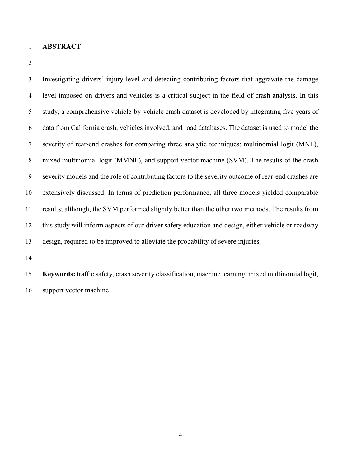- **ABSTRACT**
- 

 Investigating drivers' injury level and detecting contributing factors that aggravate the damage level imposed on drivers and vehicles is a critical subject in the field of crash analysis. In this study, a comprehensive vehicle-by-vehicle crash dataset is developed by integrating five years of data from California crash, vehicles involved, and road databases. The dataset is used to model the severity of rear-end crashes for comparing three analytic techniques: multinomial logit (MNL), mixed multinomial logit (MMNL), and support vector machine (SVM). The results of the crash severity models and the role of contributing factors to the severity outcome of rear-end crashes are extensively discussed. In terms of prediction performance, all three models yielded comparable results; although, the SVM performed slightly better than the other two methods. The results from this study will inform aspects of our driver safety education and design, either vehicle or roadway design, required to be improved to alleviate the probability of severe injuries.

 **Keywords:** traffic safety, crash severity classification, machine learning, mixed multinomial logit, support vector machine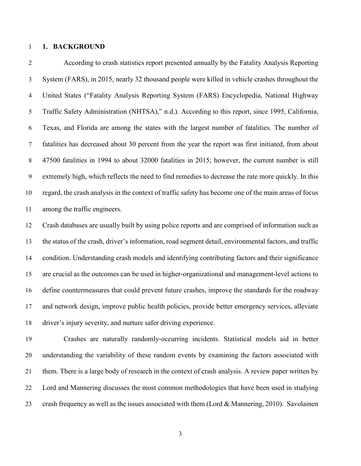#### **1. BACKGROUND**

 According to crash statistics report presented annually by the Fatality Analysis Reporting System (FARS), in 2015, nearly 32 thousand people were killed in vehicle crashes throughout the United States ("Fatality Analysis Reporting System (FARS) Encyclopedia, National Highway Traffic Safety Administration (NHTSA)," n.d.). According to this report, since 1995, California, Texas, and Florida are among the states with the largest number of fatalities. The number of fatalities has decreased about 30 percent from the year the report was first initiated, from about 47500 fatalities in 1994 to about 32000 fatalities in 2015; however, the current number is still extremely high, which reflects the need to find remedies to decrease the rate more quickly. In this regard, the crash analysis in the context of traffic safety has become one of the main areas of focus among the traffic engineers.

 Crash databases are usually built by using police reports and are comprised of information such as the status of the crash, driver's information, road segment detail, environmental factors, and traffic condition. Understanding crash models and identifying contributing factors and their significance are crucial as the outcomes can be used in higher-organizational and management-level actions to define countermeasures that could prevent future crashes, improve the standards for the roadway and network design, improve public health policies, provide better emergency services, alleviate driver's injury severity, and nurture safer driving experience.

 Crashes are naturally randomly-occurring incidents. Statistical models aid in better understanding the variability of these random events by examining the factors associated with them. There is a large body of research in the context of crash analysis. A review paper written by Lord and Mannering discusses the most common methodologies that have been used in studying 23 crash frequency as well as the issues associated with them (Lord & Mannering, 2010). Savolainen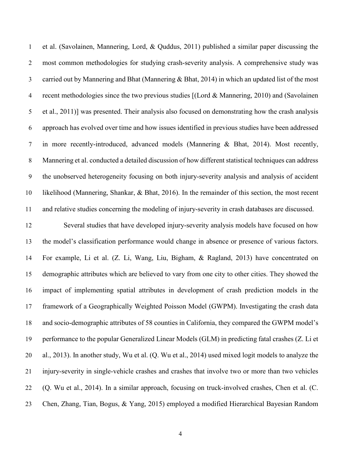et al. (Savolainen, Mannering, Lord, & Quddus, 2011) published a similar paper discussing the most common methodologies for studying crash-severity analysis. A comprehensive study was carried out by Mannering and Bhat (Mannering & Bhat, 2014) in which an updated list of the most recent methodologies since the two previous studies [(Lord & Mannering, 2010) and (Savolainen et al., 2011)] was presented. Their analysis also focused on demonstrating how the crash analysis approach has evolved over time and how issues identified in previous studies have been addressed in more recently-introduced, advanced models (Mannering & Bhat, 2014). Most recently, Mannering et al. conducted a detailed discussion of how different statistical techniques can address the unobserved heterogeneity focusing on both injury-severity analysis and analysis of accident likelihood (Mannering, Shankar, & Bhat, 2016). In the remainder of this section, the most recent and relative studies concerning the modeling of injury-severity in crash databases are discussed.

 Several studies that have developed injury-severity analysis models have focused on how the model's classification performance would change in absence or presence of various factors. For example, Li et al. (Z. Li, Wang, Liu, Bigham, & Ragland, 2013) have concentrated on demographic attributes which are believed to vary from one city to other cities. They showed the impact of implementing spatial attributes in development of crash prediction models in the framework of a Geographically Weighted Poisson Model (GWPM). Investigating the crash data and socio-demographic attributes of 58 counties in California, they compared the GWPM model's performance to the popular Generalized Linear Models (GLM) in predicting fatal crashes (Z. Li et al., 2013). In another study, Wu et al. (Q. Wu et al., 2014) used mixed logit models to analyze the injury-severity in single-vehicle crashes and crashes that involve two or more than two vehicles (Q. Wu et al., 2014). In a similar approach, focusing on truck-involved crashes, Chen et al. (C. Chen, Zhang, Tian, Bogus, & Yang, 2015) employed a modified Hierarchical Bayesian Random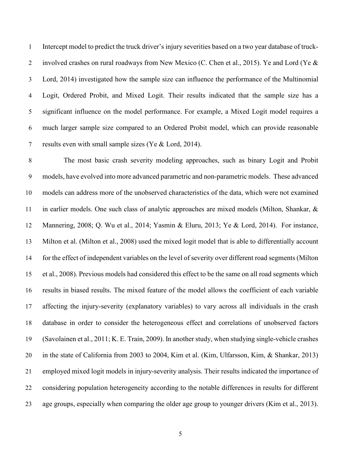Intercept model to predict the truck driver's injury severities based on a two year database of truck-2 involved crashes on rural roadways from New Mexico (C. Chen et al., 2015). Ye and Lord (Ye & Lord, 2014) investigated how the sample size can influence the performance of the Multinomial Logit, Ordered Probit, and Mixed Logit. Their results indicated that the sample size has a significant influence on the model performance. For example, a Mixed Logit model requires a much larger sample size compared to an Ordered Probit model, which can provide reasonable results even with small sample sizes (Ye & Lord, 2014).

 The most basic crash severity modeling approaches, such as binary Logit and Probit models, have evolved into more advanced parametric and non-parametric models. These advanced models can address more of the unobserved characteristics of the data, which were not examined in earlier models. One such class of analytic approaches are mixed models (Milton, Shankar, & Mannering, 2008; Q. Wu et al., 2014; Yasmin & Eluru, 2013; Ye & Lord, 2014). For instance, Milton et al. (Milton et al., 2008) used the mixed logit model that is able to differentially account for the effect of independent variables on the level of severity over different road segments (Milton et al., 2008). Previous models had considered this effect to be the same on all road segments which results in biased results. The mixed feature of the model allows the coefficient of each variable affecting the injury-severity (explanatory variables) to vary across all individuals in the crash database in order to consider the heterogeneous effect and correlations of unobserved factors (Savolainen et al., 2011; K. E. Train, 2009). In another study, when studying single-vehicle crashes in the state of California from 2003 to 2004, Kim et al. (Kim, Ulfarsson, Kim, & Shankar, 2013) employed mixed logit models in injury-severity analysis. Their results indicated the importance of considering population heterogeneity according to the notable differences in results for different age groups, especially when comparing the older age group to younger drivers (Kim et al., 2013).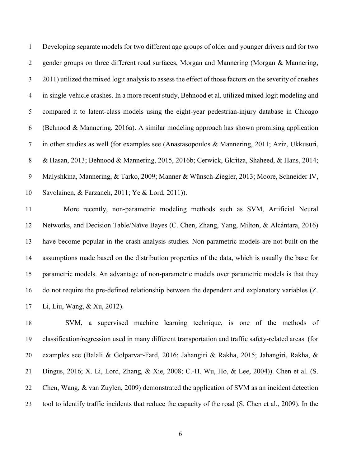Developing separate models for two different age groups of older and younger drivers and for two gender groups on three different road surfaces, Morgan and Mannering (Morgan & Mannering, 2011) utilized the mixed logit analysis to assess the effect of those factors on the severity of crashes in single-vehicle crashes. In a more recent study, Behnood et al. utilized mixed logit modeling and compared it to latent-class models using the eight-year pedestrian-injury database in Chicago (Behnood & Mannering, 2016a). A similar modeling approach has shown promising application in other studies as well (for examples see (Anastasopoulos & Mannering, 2011; Aziz, Ukkusuri, & Hasan, 2013; Behnood & Mannering, 2015, 2016b; Cerwick, Gkritza, Shaheed, & Hans, 2014; Malyshkina, Mannering, & Tarko, 2009; Manner & Wünsch-Ziegler, 2013; Moore, Schneider IV, Savolainen, & Farzaneh, 2011; Ye & Lord, 2011)).

 More recently, non-parametric modeling methods such as SVM, Artificial Neural Networks, and Decision Table/Naïve Bayes (C. Chen, Zhang, Yang, Milton, & Alcántara, 2016) have become popular in the crash analysis studies. Non-parametric models are not built on the assumptions made based on the distribution properties of the data, which is usually the base for parametric models. An advantage of non-parametric models over parametric models is that they do not require the pre-defined relationship between the dependent and explanatory variables (Z. Li, Liu, Wang, & Xu, 2012).

 SVM, a supervised machine learning technique, is one of the methods of classification/regression used in many different transportation and traffic safety-related areas (for examples see (Balali & Golparvar-Fard, 2016; Jahangiri & Rakha, 2015; Jahangiri, Rakha, & Dingus, 2016; X. Li, Lord, Zhang, & Xie, 2008; C.-H. Wu, Ho, & Lee, 2004)). Chen et al. (S. Chen, Wang, & van Zuylen, 2009) demonstrated the application of SVM as an incident detection tool to identify traffic incidents that reduce the capacity of the road (S. Chen et al., 2009). In the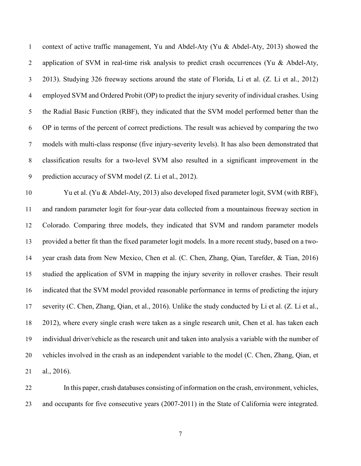context of active traffic management, Yu and Abdel-Aty (Yu & Abdel-Aty, 2013) showed the 2 application of SVM in real-time risk analysis to predict crash occurrences (Yu & Abdel-Aty, 2013). Studying 326 freeway sections around the state of Florida, Li et al. (Z. Li et al., 2012) employed SVM and Ordered Probit (OP) to predict the injury severity of individual crashes. Using the Radial Basic Function (RBF), they indicated that the SVM model performed better than the OP in terms of the percent of correct predictions. The result was achieved by comparing the two models with multi-class response (five injury-severity levels). It has also been demonstrated that classification results for a two-level SVM also resulted in a significant improvement in the prediction accuracy of SVM model (Z. Li et al., 2012).

 Yu et al. (Yu & Abdel-Aty, 2013) also developed fixed parameter logit, SVM (with RBF), and random parameter logit for four-year data collected from a mountainous freeway section in Colorado. Comparing three models, they indicated that SVM and random parameter models provided a better fit than the fixed parameter logit models. In a more recent study, based on a two- year crash data from New Mexico, Chen et al. (C. Chen, Zhang, Qian, Tarefder, & Tian, 2016) studied the application of SVM in mapping the injury severity in rollover crashes. Their result indicated that the SVM model provided reasonable performance in terms of predicting the injury severity (C. Chen, Zhang, Qian, et al., 2016). Unlike the study conducted by Li et al. (Z. Li et al., 2012), where every single crash were taken as a single research unit, Chen et al. has taken each individual driver/vehicle as the research unit and taken into analysis a variable with the number of vehicles involved in the crash as an independent variable to the model (C. Chen, Zhang, Qian, et al., 2016).

 In this paper, crash databases consisting of information on the crash, environment, vehicles, and occupants for five consecutive years (2007-2011) in the State of California were integrated.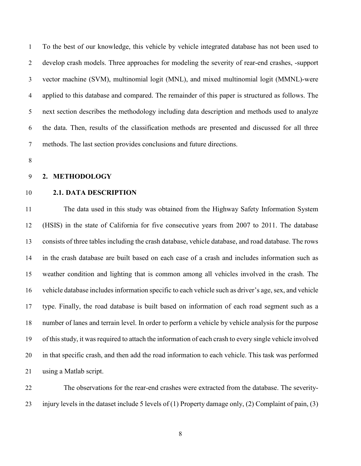To the best of our knowledge, this vehicle by vehicle integrated database has not been used to develop crash models. Three approaches for modeling the severity of rear-end crashes, -support vector machine (SVM), multinomial logit (MNL), and mixed multinomial logit (MMNL)-were applied to this database and compared. The remainder of this paper is structured as follows. The next section describes the methodology including data description and methods used to analyze the data. Then, results of the classification methods are presented and discussed for all three methods. The last section provides conclusions and future directions.

#### **2. METHODOLOGY**

#### **2.1. DATA DESCRIPTION**

 The data used in this study was obtained from the Highway Safety Information System (HSIS) in the state of California for five consecutive years from 2007 to 2011. The database consists of three tables including the crash database, vehicle database, and road database. The rows in the crash database are built based on each case of a crash and includes information such as weather condition and lighting that is common among all vehicles involved in the crash. The vehicle database includes information specific to each vehicle such as driver's age, sex, and vehicle type. Finally, the road database is built based on information of each road segment such as a number of lanes and terrain level. In order to perform a vehicle by vehicle analysis for the purpose of this study, it was required to attach the information of each crash to every single vehicle involved in that specific crash, and then add the road information to each vehicle. This task was performed using a Matlab script.

 The observations for the rear-end crashes were extracted from the database. The severity-injury levels in the dataset include 5 levels of (1) Property damage only, (2) Complaint of pain, (3)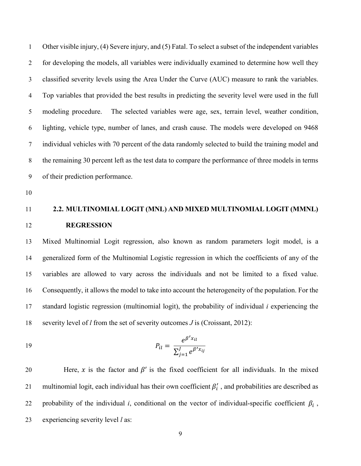Other visible injury, (4) Severe injury, and (5) Fatal. To select a subset of the independent variables for developing the models, all variables were individually examined to determine how well they classified severity levels using the Area Under the Curve (AUC) measure to rank the variables. Top variables that provided the best results in predicting the severity level were used in the full modeling procedure. The selected variables were age, sex, terrain level, weather condition, lighting, vehicle type, number of lanes, and crash cause. The models were developed on 9468 individual vehicles with 70 percent of the data randomly selected to build the training model and the remaining 30 percent left as the test data to compare the performance of three models in terms of their prediction performance.

# **2.2. MULTINOMIAL LOGIT (MNL) AND MIXED MULTINOMIAL LOGIT (MMNL) REGRESSION**

 Mixed Multinomial Logit regression, also known as random parameters logit model, is a generalized form of the Multinomial Logistic regression in which the coefficients of any of the variables are allowed to vary across the individuals and not be limited to a fixed value. Consequently, it allows the model to take into account the heterogeneity of the population. For the standard logistic regression (multinomial logit), the probability of individual *i* experiencing the severity level of *l* from the set of severity outcomes *J* is (Croissant, 2012):

19 
$$
P_{il} = \frac{e^{\beta' x_{il}}}{\sum_{j=1}^{J} e^{\beta' x_{ij}}}
$$

20 Here, x is the factor and  $\beta'$  is the fixed coefficient for all individuals. In the mixed 21 multinomial logit, each individual has their own coefficient  $\beta'_i$ , and probabilities are described as 22 probability of the individual *i*, conditional on the vector of individual-specific coefficient  $\beta_i$ , experiencing severity level *l* as: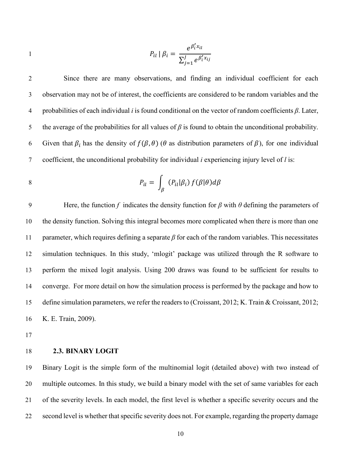$$
P_{il} | \beta_i = \frac{e^{\beta'_i x_{il}}}{\sum_{j=1}^J e^{\beta'_i x_{ij}}}
$$

 Since there are many observations, and finding an individual coefficient for each observation may not be of interest, the coefficients are considered to be random variables and the probabilities of each individual *i* is found conditional on the vector of random coefficients *β*. Later, 5 the average of the probabilities for all values of  $\beta$  is found to obtain the unconditional probability. 6 Given that  $\beta_i$  has the density of  $f(\beta, \theta)$  ( $\theta$  as distribution parameters of  $\beta$ ), for one individual coefficient, the unconditional probability for individual *i* experiencing injury level of *l* is:

8 
$$
P_{il} = \int_{\beta} (P_{il}|\beta_i) f(\beta|\theta) d\beta
$$

9 Here, the function *f* indicates the density function for  $\beta$  with  $\theta$  defining the parameters of the density function. Solving this integral becomes more complicated when there is more than one parameter, which requires defining a separate *β* for each of the random variables. This necessitates simulation techniques. In this study, 'mlogit' package was utilized through the R software to perform the mixed logit analysis. Using 200 draws was found to be sufficient for results to converge. For more detail on how the simulation process is performed by the package and how to define simulation parameters, we refer the readers to (Croissant, 2012; K. Train & Croissant, 2012; K. E. Train, 2009).

#### **2.3. BINARY LOGIT**

 Binary Logit is the simple form of the multinomial logit (detailed above) with two instead of multiple outcomes. In this study, we build a binary model with the set of same variables for each of the severity levels. In each model, the first level is whether a specific severity occurs and the second level is whether that specific severity does not. For example, regarding the property damage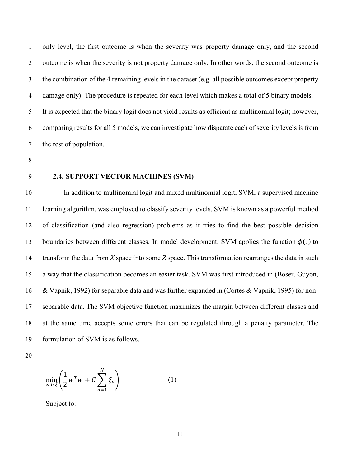only level, the first outcome is when the severity was property damage only, and the second outcome is when the severity is not property damage only. In other words, the second outcome is the combination of the 4 remaining levels in the dataset (e.g. all possible outcomes except property damage only). The procedure is repeated for each level which makes a total of 5 binary models. It is expected that the binary logit does not yield results as efficient as multinomial logit; however, comparing results for all 5 models, we can investigate how disparate each of severity levels is from the rest of population.

- 
- 

#### **2.4. SUPPORT VECTOR MACHINES (SVM)**

 In addition to multinomial logit and mixed multinomial logit, SVM, a supervised machine learning algorithm, was employed to classify severity levels. SVM is known as a powerful method of classification (and also regression) problems as it tries to find the best possible decision 13 boundaries between different classes. In model development, SVM applies the function  $\phi(.)$  to transform the data from *X* space into some *Z* space. This transformation rearranges the data in such a way that the classification becomes an easier task. SVM was first introduced in (Boser, Guyon, & Vapnik, 1992) for separable data and was further expanded in (Cortes & Vapnik, 1995) for non- separable data. The SVM objective function maximizes the margin between different classes and at the same time accepts some errors that can be regulated through a penalty parameter. The formulation of SVM is as follows.

$$
\min_{w,b,\xi} \left( \frac{1}{2} w^T w + C \sum_{n=1}^N \xi_n \right) \tag{1}
$$

Subject to: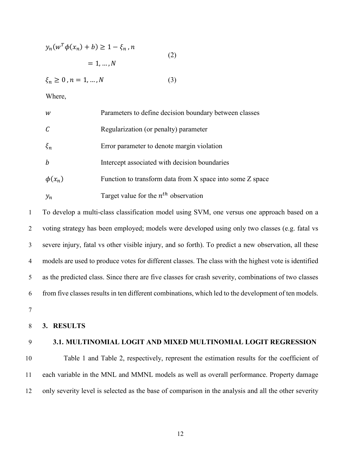$$
y_n(w^T \phi(x_n) + b) \ge 1 - \xi_n, n
$$
  
= 1, ..., N  
(2)

$$
\xi_n \ge 0, n = 1, \dots, N \tag{3}
$$

Where,

| W           | Parameters to define decision boundary between classes    |
|-------------|-----------------------------------------------------------|
|             | Regularization (or penalty) parameter                     |
| $\xi_n$     | Error parameter to denote margin violation                |
| b           | Intercept associated with decision boundaries             |
| $\phi(x_n)$ | Function to transform data from X space into some Z space |
| $y_n$       | Target value for the $n^{th}$ observation                 |

 To develop a multi-class classification model using SVM, one versus one approach based on a voting strategy has been employed; models were developed using only two classes (e.g. fatal vs severe injury, fatal vs other visible injury, and so forth). To predict a new observation, all these models are used to produce votes for different classes. The class with the highest vote is identified as the predicted class. Since there are five classes for crash severity, combinations of two classes from five classes results in ten different combinations, which led to the development of ten models. 7

8 **3. RESULTS**

#### 9 **3.1. MULTINOMIAL LOGIT AND MIXED MULTINOMIAL LOGIT REGRESSION**

10 Table 1 and Table 2, respectively, represent the estimation results for the coefficient of 11 each variable in the MNL and MMNL models as well as overall performance. Property damage 12 only severity level is selected as the base of comparison in the analysis and all the other severity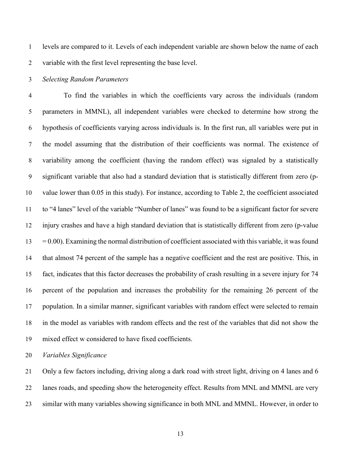levels are compared to it. Levels of each independent variable are shown below the name of each variable with the first level representing the base level.

#### *Selecting Random Parameters*

 To find the variables in which the coefficients vary across the individuals (random parameters in MMNL), all independent variables were checked to determine how strong the hypothesis of coefficients varying across individuals is. In the first run, all variables were put in the model assuming that the distribution of their coefficients was normal. The existence of variability among the coefficient (having the random effect) was signaled by a statistically significant variable that also had a standard deviation that is statistically different from zero (p- value lower than 0.05 in this study). For instance, according to Table 2, the coefficient associated to "4 lanes" level of the variable "Number of lanes" was found to be a significant factor for severe injury crashes and have a high standard deviation that is statistically different from zero (p-value  $13 = 0.00$ ). Examining the normal distribution of coefficient associated with this variable, it was found that almost 74 percent of the sample has a negative coefficient and the rest are positive. This, in fact, indicates that this factor decreases the probability of crash resulting in a severe injury for 74 percent of the population and increases the probability for the remaining 26 percent of the population. In a similar manner, significant variables with random effect were selected to remain in the model as variables with random effects and the rest of the variables that did not show the mixed effect w considered to have fixed coefficients.

*Variables Significance*

 Only a few factors including, driving along a dark road with street light, driving on 4 lanes and 6 lanes roads, and speeding show the heterogeneity effect. Results from MNL and MMNL are very similar with many variables showing significance in both MNL and MMNL. However, in order to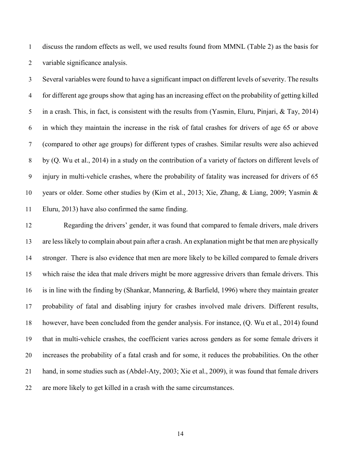discuss the random effects as well, we used results found from MMNL (Table 2) as the basis for variable significance analysis.

 Several variables were found to have a significant impact on different levels of severity. The results for different age groups show that aging has an increasing effect on the probability of getting killed in a crash. This, in fact, is consistent with the results from (Yasmin, Eluru, Pinjari, & Tay, 2014) in which they maintain the increase in the risk of fatal crashes for drivers of age 65 or above (compared to other age groups) for different types of crashes. Similar results were also achieved by (Q. Wu et al., 2014) in a study on the contribution of a variety of factors on different levels of injury in multi-vehicle crashes, where the probability of fatality was increased for drivers of 65 years or older. Some other studies by (Kim et al., 2013; Xie, Zhang, & Liang, 2009; Yasmin & Eluru, 2013) have also confirmed the same finding.

 Regarding the drivers' gender, it was found that compared to female drivers, male drivers are less likely to complain about pain after a crash. An explanation might be that men are physically stronger. There is also evidence that men are more likely to be killed compared to female drivers which raise the idea that male drivers might be more aggressive drivers than female drivers. This is in line with the finding by (Shankar, Mannering, & Barfield, 1996) where they maintain greater probability of fatal and disabling injury for crashes involved male drivers. Different results, however, have been concluded from the gender analysis. For instance, (Q. Wu et al., 2014) found that in multi-vehicle crashes, the coefficient varies across genders as for some female drivers it increases the probability of a fatal crash and for some, it reduces the probabilities. On the other hand, in some studies such as (Abdel-Aty, 2003; Xie et al., 2009), it was found that female drivers are more likely to get killed in a crash with the same circumstances.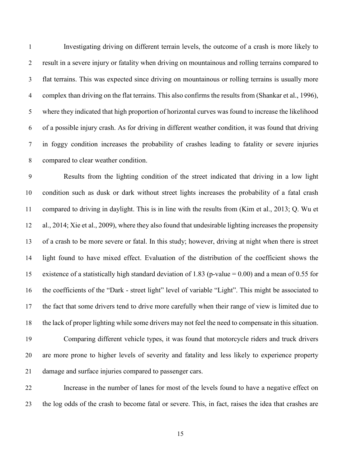Investigating driving on different terrain levels, the outcome of a crash is more likely to result in a severe injury or fatality when driving on mountainous and rolling terrains compared to flat terrains. This was expected since driving on mountainous or rolling terrains is usually more complex than driving on the flat terrains. This also confirms the results from (Shankar et al., 1996), where they indicated that high proportion of horizontal curves was found to increase the likelihood of a possible injury crash. As for driving in different weather condition, it was found that driving in foggy condition increases the probability of crashes leading to fatality or severe injuries compared to clear weather condition.

 Results from the lighting condition of the street indicated that driving in a low light condition such as dusk or dark without street lights increases the probability of a fatal crash compared to driving in daylight. This is in line with the results from (Kim et al., 2013; Q. Wu et al., 2014; Xie et al., 2009), where they also found that undesirable lighting increases the propensity of a crash to be more severe or fatal. In this study; however, driving at night when there is street light found to have mixed effect. Evaluation of the distribution of the coefficient shows the existence of a statistically high standard deviation of 1.83 (p-value = 0.00) and a mean of 0.55 for the coefficients of the "Dark - street light" level of variable "Light". This might be associated to the fact that some drivers tend to drive more carefully when their range of view is limited due to the lack of proper lighting while some drivers may not feel the need to compensate in this situation.

 Comparing different vehicle types, it was found that motorcycle riders and truck drivers are more prone to higher levels of severity and fatality and less likely to experience property damage and surface injuries compared to passenger cars.

 Increase in the number of lanes for most of the levels found to have a negative effect on the log odds of the crash to become fatal or severe. This, in fact, raises the idea that crashes are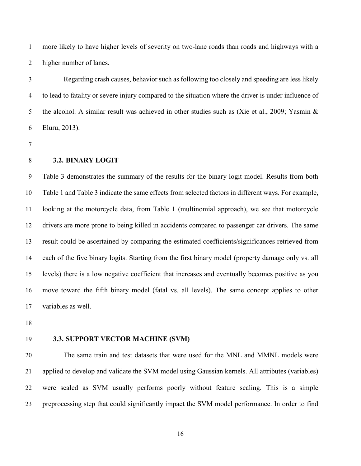more likely to have higher levels of severity on two-lane roads than roads and highways with a higher number of lanes.

 Regarding crash causes, behavior such as following too closely and speeding are less likely to lead to fatality or severe injury compared to the situation where the driver is under influence of 5 the alcohol. A similar result was achieved in other studies such as (Xie et al., 2009; Yasmin & Eluru, 2013).

#### **3.2. BINARY LOGIT**

 Table 3 demonstrates the summary of the results for the binary logit model. Results from both Table 1 and Table 3 indicate the same effects from selected factors in different ways. For example, looking at the motorcycle data, from Table 1 (multinomial approach), we see that motorcycle drivers are more prone to being killed in accidents compared to passenger car drivers. The same result could be ascertained by comparing the estimated coefficients/significances retrieved from each of the five binary logits. Starting from the first binary model (property damage only vs. all levels) there is a low negative coefficient that increases and eventually becomes positive as you move toward the fifth binary model (fatal vs. all levels). The same concept applies to other variables as well.

#### **3.3. SUPPORT VECTOR MACHINE (SVM)**

 The same train and test datasets that were used for the MNL and MMNL models were applied to develop and validate the SVM model using Gaussian kernels. All attributes (variables) were scaled as SVM usually performs poorly without feature scaling. This is a simple preprocessing step that could significantly impact the SVM model performance. In order to find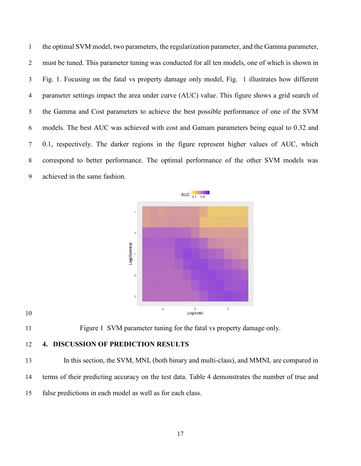the optimal SVM model, two parameters, the regularization parameter, and the Gamma parameter, must be tuned. This parameter tuning was conducted for all ten models, one of which is shown in Fig. 1. Focusing on the fatal vs property damage only model, Fig. 1 illustrates how different parameter settings impact the area under curve (AUC) value. This figure shows a grid search of the Gamma and Cost parameters to achieve the best possible performance of one of the SVM models. The best AUC was achieved with cost and Gamam parameters being equal to 0.32 and 0.1, respectively. The darker regions in the figure represent higher values of AUC, which correspond to better performance. The optimal performance of the other SVM models was achieved in the same fashion.





Figure 1 SVM parameter tuning for the fatal vs property damage only.

### **4. DISCUSSION OF PREDICTION RESULTS**

 In this section, the SVM, MNL (both binary and multi-class), and MMNL are compared in terms of their predicting accuracy on the test data. Table 4 demonstrates the number of true and false predictions in each model as well as for each class.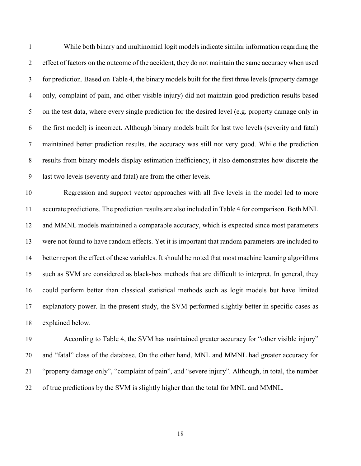While both binary and multinomial logit models indicate similar information regarding the effect of factors on the outcome of the accident, they do not maintain the same accuracy when used for prediction. Based on Table 4, the binary models built for the first three levels (property damage only, complaint of pain, and other visible injury) did not maintain good prediction results based on the test data, where every single prediction for the desired level (e.g. property damage only in the first model) is incorrect. Although binary models built for last two levels (severity and fatal) maintained better prediction results, the accuracy was still not very good. While the prediction results from binary models display estimation inefficiency, it also demonstrates how discrete the last two levels (severity and fatal) are from the other levels.

 Regression and support vector approaches with all five levels in the model led to more accurate predictions. The prediction results are also included in Table 4 for comparison. Both MNL and MMNL models maintained a comparable accuracy, which is expected since most parameters were not found to have random effects. Yet it is important that random parameters are included to better report the effect of these variables. It should be noted that most machine learning algorithms such as SVM are considered as black-box methods that are difficult to interpret. In general, they could perform better than classical statistical methods such as logit models but have limited explanatory power. In the present study, the SVM performed slightly better in specific cases as explained below.

 According to Table 4, the SVM has maintained greater accuracy for "other visible injury" and "fatal" class of the database. On the other hand, MNL and MMNL had greater accuracy for "property damage only", "complaint of pain", and "severe injury". Although, in total, the number of true predictions by the SVM is slightly higher than the total for MNL and MMNL.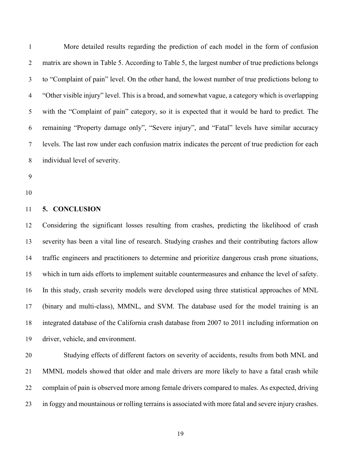More detailed results regarding the prediction of each model in the form of confusion matrix are shown in Table 5. According to Table 5, the largest number of true predictions belongs to "Complaint of pain" level. On the other hand, the lowest number of true predictions belong to "Other visible injury" level. This is a broad, and somewhat vague, a category which is overlapping with the "Complaint of pain" category, so it is expected that it would be hard to predict. The remaining "Property damage only", "Severe injury", and "Fatal" levels have similar accuracy levels. The last row under each confusion matrix indicates the percent of true prediction for each individual level of severity.

#### **5. CONCLUSION**

 Considering the significant losses resulting from crashes, predicting the likelihood of crash severity has been a vital line of research. Studying crashes and their contributing factors allow traffic engineers and practitioners to determine and prioritize dangerous crash prone situations, which in turn aids efforts to implement suitable countermeasures and enhance the level of safety. In this study, crash severity models were developed using three statistical approaches of MNL (binary and multi-class), MMNL, and SVM. The database used for the model training is an integrated database of the California crash database from 2007 to 2011 including information on driver, vehicle, and environment.

 Studying effects of different factors on severity of accidents, results from both MNL and MMNL models showed that older and male drivers are more likely to have a fatal crash while complain of pain is observed more among female drivers compared to males. As expected, driving in foggy and mountainous or rolling terrains is associated with more fatal and severe injury crashes.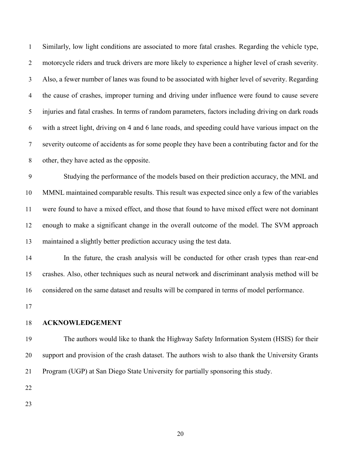Similarly, low light conditions are associated to more fatal crashes. Regarding the vehicle type, motorcycle riders and truck drivers are more likely to experience a higher level of crash severity. Also, a fewer number of lanes was found to be associated with higher level of severity. Regarding the cause of crashes, improper turning and driving under influence were found to cause severe injuries and fatal crashes. In terms of random parameters, factors including driving on dark roads with a street light, driving on 4 and 6 lane roads, and speeding could have various impact on the severity outcome of accidents as for some people they have been a contributing factor and for the other, they have acted as the opposite.

 Studying the performance of the models based on their prediction accuracy, the MNL and MMNL maintained comparable results. This result was expected since only a few of the variables were found to have a mixed effect, and those that found to have mixed effect were not dominant enough to make a significant change in the overall outcome of the model. The SVM approach maintained a slightly better prediction accuracy using the test data.

 In the future, the crash analysis will be conducted for other crash types than rear-end crashes. Also, other techniques such as neural network and discriminant analysis method will be considered on the same dataset and results will be compared in terms of model performance.

#### **ACKNOWLEDGEMENT**

 The authors would like to thank the Highway Safety Information System (HSIS) for their support and provision of the crash dataset. The authors wish to also thank the University Grants Program (UGP) at San Diego State University for partially sponsoring this study.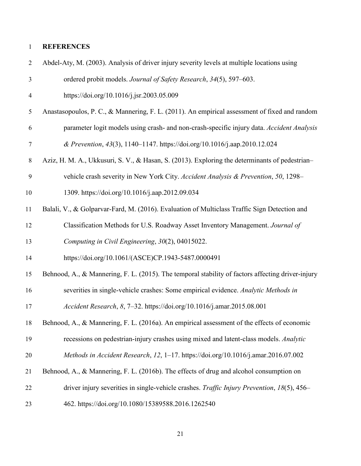## **REFERENCES**

| $\overline{2}$ | Abdel-Aty, M. (2003). Analysis of driver injury severity levels at multiple locations using       |
|----------------|---------------------------------------------------------------------------------------------------|
| $\mathfrak{Z}$ | ordered probit models. Journal of Safety Research, 34(5), 597-603.                                |
| 4              | https://doi.org/10.1016/j.jsr.2003.05.009                                                         |
| 5              | Anastasopoulos, P. C., & Mannering, F. L. (2011). An empirical assessment of fixed and random     |
| 6              | parameter logit models using crash- and non-crash-specific injury data. Accident Analysis         |
| $\tau$         | & Prevention, 43(3), 1140-1147. https://doi.org/10.1016/j.aap.2010.12.024                         |
| $8\,$          | Aziz, H. M. A., Ukkusuri, S. V., & Hasan, S. (2013). Exploring the determinants of pedestrian-    |
| 9              | vehicle crash severity in New York City. Accident Analysis & Prevention, 50, 1298–                |
| 10             | 1309. https://doi.org/10.1016/j.aap.2012.09.034                                                   |
| 11             | Balali, V., & Golparvar-Fard, M. (2016). Evaluation of Multiclass Traffic Sign Detection and      |
| 12             | Classification Methods for U.S. Roadway Asset Inventory Management. Journal of                    |
| 13             | Computing in Civil Engineering, 30(2), 04015022.                                                  |
| 14             | https://doi.org/10.1061/(ASCE)CP.1943-5487.0000491                                                |
| 15             | Behnood, A., & Mannering, F. L. (2015). The temporal stability of factors affecting driver-injury |
| 16             | severities in single-vehicle crashes: Some empirical evidence. Analytic Methods in                |
| 17             | Accident Research, 8, 7-32. https://doi.org/10.1016/j.amar.2015.08.001                            |
| 18             | Behnood, A., & Mannering, F. L. (2016a). An empirical assessment of the effects of economic       |
| 19             | recessions on pedestrian-injury crashes using mixed and latent-class models. Analytic             |
| 20             | Methods in Accident Research, 12, 1-17. https://doi.org/10.1016/j.amar.2016.07.002                |
| 21             | Behnood, A., & Mannering, F. L. (2016b). The effects of drug and alcohol consumption on           |
| 22             | driver injury severities in single-vehicle crashes. Traffic Injury Prevention, 18(5), 456–        |
| 23             | 462. https://doi.org/10.1080/15389588.2016.1262540                                                |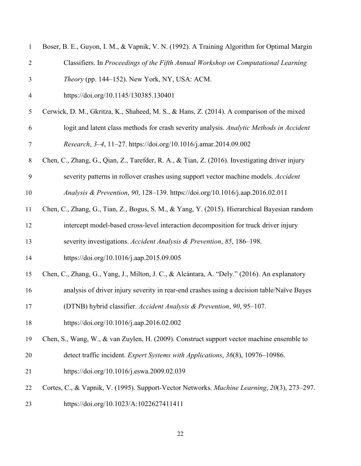| $\mathbf{1}$     | Boser, B. E., Guyon, I. M., & Vapnik, V. N. (1992). A Training Algorithm for Optimal Margin    |
|------------------|------------------------------------------------------------------------------------------------|
| $\overline{2}$   | Classifiers. In Proceedings of the Fifth Annual Workshop on Computational Learning             |
| 3                | Theory (pp. 144–152). New York, NY, USA: ACM.                                                  |
| $\overline{4}$   | https://doi.org/10.1145/130385.130401                                                          |
| 5                | Cerwick, D. M., Gkritza, K., Shaheed, M. S., & Hans, Z. (2014). A comparison of the mixed      |
| 6                | logit and latent class methods for crash severity analysis. Analytic Methods in Accident       |
| $\boldsymbol{7}$ | Research, 3-4, 11-27. https://doi.org/10.1016/j.amar.2014.09.002                               |
| $8\,$            | Chen, C., Zhang, G., Qian, Z., Tarefder, R. A., & Tian, Z. (2016). Investigating driver injury |
| $\mathbf{9}$     | severity patterns in rollover crashes using support vector machine models. Accident            |
| 10               | Analysis & Prevention, 90, 128-139. https://doi.org/10.1016/j.aap.2016.02.011                  |
| 11               | Chen, C., Zhang, G., Tian, Z., Bogus, S. M., & Yang, Y. (2015). Hierarchical Bayesian random   |
| 12               | intercept model-based cross-level interaction decomposition for truck driver injury            |
| 13               | severity investigations. Accident Analysis & Prevention, 85, 186-198.                          |
| 14               | https://doi.org/10.1016/j.aap.2015.09.005                                                      |
| 15               | Chen, C., Zhang, G., Yang, J., Milton, J. C., & Alcántara, A. "Dely." (2016). An explanatory   |
| 16               | analysis of driver injury severity in rear-end crashes using a decision table/Naïve Bayes      |
| 17               | (DTNB) hybrid classifier. Accident Analysis & Prevention, 90, 95-107.                          |
| 18               | https://doi.org/10.1016/j.aap.2016.02.002                                                      |
| 19               | Chen, S., Wang, W., & van Zuylen, H. (2009). Construct support vector machine ensemble to      |
| 20               | detect traffic incident. Expert Systems with Applications, 36(8), 10976–10986.                 |
| 21               | https://doi.org/10.1016/j.eswa.2009.02.039                                                     |
| 22               | Cortes, C., & Vapnik, V. (1995). Support-Vector Networks. Machine Learning, 20(3), 273-297.    |
| 23               | https://doi.org/10.1023/A:1022627411411                                                        |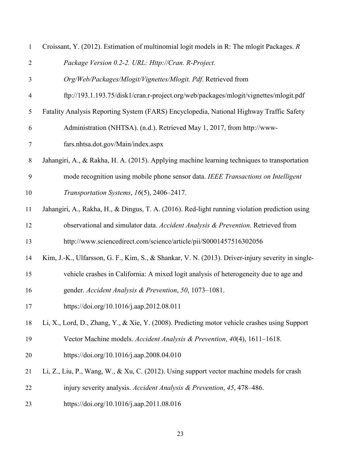| $\mathbf{1}$   | Croissant, Y. (2012). Estimation of multinomial logit models in R: The mlogit Packages. R         |
|----------------|---------------------------------------------------------------------------------------------------|
| $\overline{2}$ | Package Version 0.2-2. URL: Http://Cran. R-Project.                                               |
| 3              | Org/Web/Packages/Mlogit/Vignettes/Mlogit. Pdf. Retrieved from                                     |
| $\overline{4}$ | ftp://193.1.193.75/disk1/cran.r-project.org/web/packages/mlogit/vignettes/mlogit.pdf              |
| 5              | Fatality Analysis Reporting System (FARS) Encyclopedia, National Highway Traffic Safety           |
| 6              | Administration (NHTSA). (n.d.). Retrieved May 1, 2017, from http://www-                           |
| 7              | fars.nhtsa.dot.gov/Main/index.aspx                                                                |
| $8\,$          | Jahangiri, A., & Rakha, H. A. (2015). Applying machine learning techniques to transportation      |
| 9              | mode recognition using mobile phone sensor data. IEEE Transactions on Intelligent                 |
| 10             | Transportation Systems, 16(5), 2406-2417.                                                         |
| 11             | Jahangiri, A., Rakha, H., & Dingus, T. A. (2016). Red-light running violation prediction using    |
| 12             | observational and simulator data. Accident Analysis & Prevention. Retrieved from                  |
| 13             | http://www.sciencedirect.com/science/article/pii/S0001457516302056                                |
| 14             | Kim, J.-K., Ulfarsson, G. F., Kim, S., & Shankar, V. N. (2013). Driver-injury severity in single- |
| 15             | vehicle crashes in California: A mixed logit analysis of heterogeneity due to age and             |
| 16             | gender. Accident Analysis & Prevention, 50, 1073-1081.                                            |
| 17             | https://doi.org/10.1016/j.aap.2012.08.011                                                         |
| 18             | Li, X., Lord, D., Zhang, Y., & Xie, Y. (2008). Predicting motor vehicle crashes using Support     |
| 19             | Vector Machine models. Accident Analysis & Prevention, 40(4), 1611-1618.                          |
| 20             | https://doi.org/10.1016/j.aap.2008.04.010                                                         |
| 21             | Li, Z., Liu, P., Wang, W., & Xu, C. (2012). Using support vector machine models for crash         |
| 22             | injury severity analysis. Accident Analysis & Prevention, 45, 478–486.                            |
| 23             | https://doi.org/10.1016/j.aap.2011.08.016                                                         |
|                |                                                                                                   |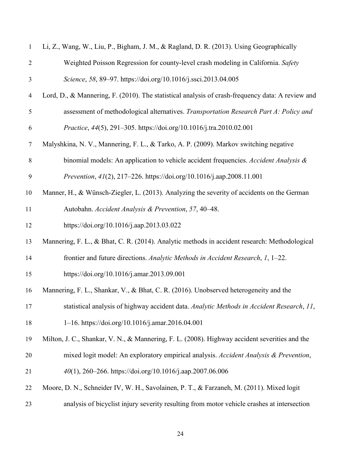| $\mathbf{1}$   | Li, Z., Wang, W., Liu, P., Bigham, J. M., & Ragland, D. R. (2013). Using Geographically          |
|----------------|--------------------------------------------------------------------------------------------------|
| $\overline{2}$ | Weighted Poisson Regression for county-level crash modeling in California. Safety                |
| 3              | Science, 58, 89-97. https://doi.org/10.1016/j.ssci.2013.04.005                                   |
| 4              | Lord, D., & Mannering, F. (2010). The statistical analysis of crash-frequency data: A review and |
| 5              | assessment of methodological alternatives. Transportation Research Part A: Policy and            |
| 6              | Practice, 44(5), 291-305. https://doi.org/10.1016/j.tra.2010.02.001                              |
| $\tau$         | Malyshkina, N. V., Mannering, F. L., & Tarko, A. P. (2009). Markov switching negative            |
| $\,8\,$        | binomial models: An application to vehicle accident frequencies. Accident Analysis &             |
| 9              | Prevention, 41(2), 217-226. https://doi.org/10.1016/j.aap.2008.11.001                            |
| 10             | Manner, H., & Wünsch-Ziegler, L. (2013). Analyzing the severity of accidents on the German       |
| 11             | Autobahn. Accident Analysis & Prevention, 57, 40-48.                                             |
| 12             | https://doi.org/10.1016/j.aap.2013.03.022                                                        |
| 13             | Mannering, F. L., & Bhat, C. R. (2014). Analytic methods in accident research: Methodological    |
| 14             | frontier and future directions. Analytic Methods in Accident Research, 1, 1-22.                  |
| 15             | https://doi.org/10.1016/j.amar.2013.09.001                                                       |
| 16             | Mannering, F. L., Shankar, V., & Bhat, C. R. (2016). Unobserved heterogeneity and the            |
| 17             | statistical analysis of highway accident data. Analytic Methods in Accident Research, 11,        |
| 18             | 1-16. https://doi.org/10.1016/j.amar.2016.04.001                                                 |
| 19             | Milton, J. C., Shankar, V. N., & Mannering, F. L. (2008). Highway accident severities and the    |
| 20             | mixed logit model: An exploratory empirical analysis. Accident Analysis & Prevention,            |
| 21             | 40(1), 260–266. https://doi.org/10.1016/j.aap.2007.06.006                                        |
| 22             | Moore, D. N., Schneider IV, W. H., Savolainen, P. T., & Farzaneh, M. (2011). Mixed logit         |
| 23             | analysis of bicyclist injury severity resulting from motor vehicle crashes at intersection       |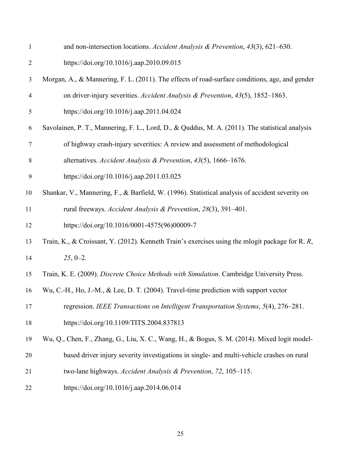| $\mathbf{1}$   | and non-intersection locations. Accident Analysis & Prevention, $43(3)$ , $621-630$ .              |
|----------------|----------------------------------------------------------------------------------------------------|
| $\overline{2}$ | https://doi.org/10.1016/j.aap.2010.09.015                                                          |
| 3              | Morgan, A., & Mannering, F. L. (2011). The effects of road-surface conditions, age, and gender     |
| $\overline{4}$ | on driver-injury severities. Accident Analysis & Prevention, 43(5), 1852-1863.                     |
| 5              | https://doi.org/10.1016/j.aap.2011.04.024                                                          |
| 6              | Savolainen, P. T., Mannering, F. L., Lord, D., & Quddus, M. A. (2011). The statistical analysis    |
| $\tau$         | of highway crash-injury severities: A review and assessment of methodological                      |
| 8              | alternatives. Accident Analysis & Prevention, 43(5), 1666-1676.                                    |
| 9              | https://doi.org/10.1016/j.aap.2011.03.025                                                          |
| 10             | Shankar, V., Mannering, F., & Barfield, W. (1996). Statistical analysis of accident severity on    |
| 11             | rural freeways. Accident Analysis & Prevention, 28(3), 391-401.                                    |
| 12             | https://doi.org/10.1016/0001-4575(96)00009-7                                                       |
| 13             | Train, K., & Croissant, Y. (2012). Kenneth Train's exercises using the mlogit package for R. $R$ , |
| 14             | $25, 0-2.$                                                                                         |
| 15             | Train, K. E. (2009). Discrete Choice Methods with Simulation. Cambridge University Press.          |
| 16             | Wu, C.-H., Ho, J.-M., & Lee, D. T. (2004). Travel-time prediction with support vector              |
| 17             | regression. IEEE Transactions on Intelligent Transportation Systems, 5(4), 276–281.                |
| 18             | https://doi.org/10.1109/TITS.2004.837813                                                           |
| 19             | Wu, Q., Chen, F., Zhang, G., Liu, X. C., Wang, H., & Bogus, S. M. (2014). Mixed logit model-       |
| 20             | based driver injury severity investigations in single- and multi-vehicle crashes on rural          |
| 21             | two-lane highways. Accident Analysis & Prevention, 72, 105-115.                                    |
| 22             | https://doi.org/10.1016/j.aap.2014.06.014                                                          |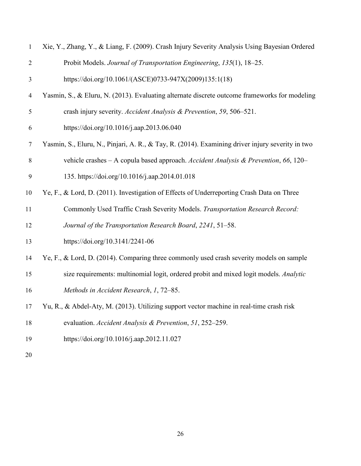| $\mathbf{1}$   | Xie, Y., Zhang, Y., & Liang, F. (2009). Crash Injury Severity Analysis Using Bayesian Ordered    |
|----------------|--------------------------------------------------------------------------------------------------|
| $\overline{2}$ | Probit Models. Journal of Transportation Engineering, 135(1), 18-25.                             |
| 3              | https://doi.org/10.1061/(ASCE)0733-947X(2009)135:1(18)                                           |
| 4              | Yasmin, S., & Eluru, N. (2013). Evaluating alternate discrete outcome frameworks for modeling    |
| 5              | crash injury severity. Accident Analysis & Prevention, 59, 506-521.                              |
| 6              | https://doi.org/10.1016/j.aap.2013.06.040                                                        |
| $\overline{7}$ | Yasmin, S., Eluru, N., Pinjari, A. R., & Tay, R. (2014). Examining driver injury severity in two |
| $8\,$          | vehicle crashes - A copula based approach. Accident Analysis & Prevention, 66, 120-              |
| 9              | 135. https://doi.org/10.1016/j.aap.2014.01.018                                                   |
| 10             | Ye, F., & Lord, D. (2011). Investigation of Effects of Underreporting Crash Data on Three        |
| 11             | Commonly Used Traffic Crash Severity Models. Transportation Research Record:                     |
| 12             | Journal of the Transportation Research Board, 2241, 51-58.                                       |
| 13             | https://doi.org/10.3141/2241-06                                                                  |
| 14             | Ye, F., & Lord, D. (2014). Comparing three commonly used crash severity models on sample         |
| 15             | size requirements: multinomial logit, ordered probit and mixed logit models. Analytic            |
| 16             | Methods in Accident Research, 1, 72-85.                                                          |
| 17             | Yu, R., & Abdel-Aty, M. (2013). Utilizing support vector machine in real-time crash risk         |
| 18             | evaluation. Accident Analysis & Prevention, 51, 252-259.                                         |
| 19             | https://doi.org/10.1016/j.aap.2012.11.027                                                        |
|                |                                                                                                  |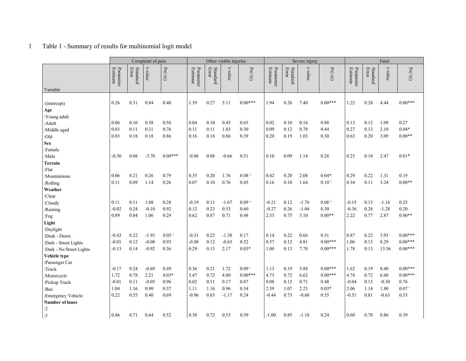## 1 Table 1 - Summary of results for multinomial logit model

|                          |                       |                   | Complaint of pain |                      |                       |                   | Other visible injuries |                     |                       |                   | Severe injury |                                      |                       | Fatal             |         |                   |  |  |
|--------------------------|-----------------------|-------------------|-------------------|----------------------|-----------------------|-------------------|------------------------|---------------------|-----------------------|-------------------|---------------|--------------------------------------|-----------------------|-------------------|---------|-------------------|--|--|
| Variable                 | Estimate<br>Parameter | Standard<br>Error | t-value           | $\Pr(\mathbb{>} t )$ | Parameter<br>Estimate | Standard<br>Error | t-value                | $\Pr(>\mid t \mid)$ | Parameter<br>Estimate | Standard<br>Error | t-value       | $\Pr(\mathbb{>}{\mid} t \mathbb{I})$ | Parameter<br>Estimate | Standard<br>Error | t-value | $\Pr(>\! t )$     |  |  |
|                          |                       |                   |                   |                      |                       |                   |                        |                     |                       |                   |               |                                      |                       |                   |         |                   |  |  |
| : (intercept)            | 0.26                  | 0.31              | 0.84              | 0.40                 | 1.39                  | 0.27              | 5.11                   | $0.00***$           | 1.94                  | 0.26              | 7.40          | $0.00***$                            | 1.22                  | 0.28              | 4.44    | $0.00***$         |  |  |
| Age                      |                       |                   |                   |                      |                       |                   |                        |                     |                       |                   |               |                                      |                       |                   |         |                   |  |  |
| :Young adult             |                       |                   |                   |                      |                       |                   |                        |                     |                       |                   |               |                                      |                       |                   |         |                   |  |  |
| :Adult                   | 0.06                  | 0.10              | 0.58              | 0.56                 | 0.04                  | 0.10              | 0.45                   | 0.65                | 0.02                  | 0.10              | 0.16          | 0.88                                 | 0.13                  | 0.12              | 1.09    | 0.27              |  |  |
| :Middle aged             | 0.03                  | 0.11              | 0.31              | 0.76                 | 0.11                  | 0.11              | 1.03                   | 0.30                | 0.09                  | 0.12              | 0.78          | 0.44                                 | 0.27                  | 0.13              | 2.10    | $0.04*$           |  |  |
| :Old                     | 0.03                  | 0.18              | 0.18              | 0.86                 | 0.16                  | 0.18              | 0.86                   | 0.39                | 0.20                  | 0.19              | 1.03          | 0.30                                 | 0.63                  | 0.20              | 3.09    | $0.00**$          |  |  |
| <b>Sex</b>               |                       |                   |                   |                      |                       |                   |                        |                     |                       |                   |               |                                      |                       |                   |         |                   |  |  |
| :Female                  |                       |                   |                   |                      |                       |                   |                        |                     |                       |                   |               |                                      |                       |                   |         |                   |  |  |
| :Male                    | $-0.30$               | 0.08              | $-3.70$           | $0.00***$            | $-0.06$               | 0.08              | $-0.66$                | 0.51                | 0.10                  | 0.09              | 1.14          | 0.26                                 | 0.25                  | 0.10              | 2.47    | $0.01*$           |  |  |
| Terrain                  |                       |                   |                   |                      |                       |                   |                        |                     |                       |                   |               |                                      |                       |                   |         |                   |  |  |
| :Flat                    |                       |                   |                   |                      |                       |                   |                        |                     |                       |                   |               |                                      |                       |                   |         |                   |  |  |
| :Mountainous             | 0.06                  | 0.21              | 0.26              | 0.79                 | 0.35                  | 0.20              | 1.76                   | 0.08 <sup>o</sup>   | 0.42                  | 0.20              | 2.08          | $0.04*$                              | 0.29                  | 0.22              | 1.31    | 0.19              |  |  |
| :Rolling                 | 0.11                  | 0.09              | 1.14              | 0.26                 | 0.07                  | 0.10              | 0.76                   | 0.45                | 0.16                  | 0.10              | 1.64          | $0.10$ <sup><math>\cdot</math></sup> | 0.34                  | 0.11              | 3.24    | $0.00**$          |  |  |
| Weather                  |                       |                   |                   |                      |                       |                   |                        |                     |                       |                   |               |                                      |                       |                   |         |                   |  |  |
| :Clear                   |                       |                   |                   |                      |                       |                   |                        |                     |                       |                   |               |                                      |                       |                   |         |                   |  |  |
| :Cloudy                  | 0.11                  | 0.11              | 1.08              | 0.28                 | $-0.19$               | 0.11              | $-1.67$                | $0.09$ <sup>c</sup> | $-0.21$               | 0.12              | $-1.76$       | 0.08                                 | $-0.15$               | 0.13              | $-1.16$ | 0.25              |  |  |
| :Raining                 | $-0.02$               | 0.24              | $-0.10$           | 0.92                 | 0.12                  | 0.23              | 0.53                   | 0.60                | $-0.27$               | 0.26              | $-1.04$       | 0.30                                 | $-0.36$               | 0.28              | $-1.28$ | 0.20              |  |  |
| :Fog                     | 0.89                  | 0.84              | 1.06              | 0.29                 | 0.62                  | 0.87              | 0.71                   | 0.48                | 2.33                  | 0.75              | 3.10          | $0.00**$                             | 2.22                  | 0.77              | 2.87    | $0.00**$          |  |  |
| Light                    |                       |                   |                   |                      |                       |                   |                        |                     |                       |                   |               |                                      |                       |                   |         |                   |  |  |
| :Daylight                |                       |                   |                   |                      |                       |                   |                        |                     |                       |                   |               |                                      |                       |                   |         |                   |  |  |
| :Dusk - Dawn             | $-0.43$               | 0.22              | $-1.93$           | 0.05                 | $-0.31$               | 0.22              | $-1.38$                | 0.17                | 0.14                  | 0.22              | 0.66          | 0.51                                 | 0.87                  | 0.22              | 3.93    | $0.00***$         |  |  |
| :Dark - Street Lights    | $-0.01$               | 0.12              | $-0.08$           | 0.93                 | $-0.08$               | 0.12              | $-0.65$                | 0.52                | 0.57                  | 0.12              | 4.81          | $0.00***$                            | 1.06                  | 0.13              | 8.29    | $0.00***$         |  |  |
| :Dark - No Street Lights | $-0.13$               | 0.14              | $-0.92$           | 0.36                 | 0.29                  | 0.13              | 2.17                   | $0.03*$             | 1.00                  | 0.13              | 7.78          | $0.00***$                            | 1.78                  | 0.13              | 13.56   | $0.00***$         |  |  |
| Vehicle type             |                       |                   |                   |                      |                       |                   |                        |                     |                       |                   |               |                                      |                       |                   |         |                   |  |  |
| :Passenger Car           |                       |                   |                   |                      |                       |                   |                        |                     |                       |                   |               |                                      |                       |                   |         |                   |  |  |
| :Truck                   | $-0.17$               | 0.24              | $-0.69$           | 0.49                 | 0.36                  | 0.21              | 1.72                   | $0.09$ <sup>c</sup> | 1.13                  | 0.19              | 5.88          | $0.00***$                            | 1.62                  | 0.19              | 8.40    | $0.00***$         |  |  |
| :Motorcycle              | 1.72                  | 0.78              | 2.21              | $0.03*$              | 3.47                  | 0.72              | 4.80                   | $0.00***$           | 4.73                  | 0.72              | 6.62          | $0.00***$                            | 4.74                  | 0.72              | 6.60    | $0.00***$         |  |  |
| :Pickup Truck            | $-0.01$               | 0.11              | $-0.05$           | 0.96                 | 0.02                  | 0.11              | 0.17                   | 0.87                | 0.08                  | 0.12              | 0.71          | 0.48                                 | $-0.04$               | 0.13              | $-0.30$ | 0.76              |  |  |
| :Bus                     | 1.04                  | 1.16              | 0.90              | 0.37                 | 1.11                  | 1.16              | 0.96                   | 0.34                | 2.39                  | 1.07              | 2.23          | $0.03*$                              | 2.06                  | 1.14              | 1.80    | $0.07$ $^{\circ}$ |  |  |
| :Emergency Vehicle       | 0.22                  | 0.55              | 0.40              | 0.69                 | $-0.96$               | 0.83              | $-1.17$                | 0.24                | $-0.44$               | 0.73              | $-0.60$       | 0.55                                 | $-0.51$               | 0.81              | $-0.63$ | 0.53              |  |  |
| <b>Number of lanes</b>   |                       |                   |                   |                      |                       |                   |                        |                     |                       |                   |               |                                      |                       |                   |         |                   |  |  |
| :2                       |                       |                   |                   |                      |                       |                   |                        |                     |                       |                   |               |                                      |                       |                   |         |                   |  |  |
| :3                       | 0.46                  | 0.71              | 0.64              | 0.52                 | 0.38                  | 0.72              | 0.53                   | 0.59                | $-1.00$               | 0.85              | $-1.18$       | 0.24                                 | 0.60                  | 0.70              | 0.86    | 0.39              |  |  |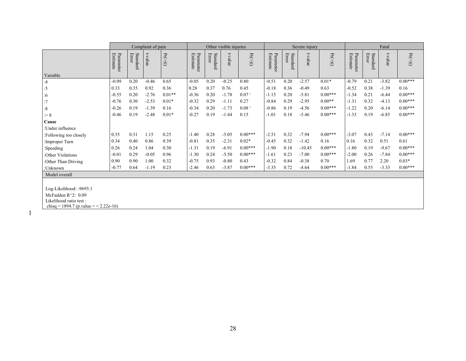|                                          |                       |                   | Complaint of pain |                       |                       |                   | Other visible injuries |                    |                       |                   | Severe injury |                | Fatal                        |                   |         |                    |
|------------------------------------------|-----------------------|-------------------|-------------------|-----------------------|-----------------------|-------------------|------------------------|--------------------|-----------------------|-------------------|---------------|----------------|------------------------------|-------------------|---------|--------------------|
|                                          | Estimate<br>Parameter | Standard<br>Error | t-value           | $\Pr(\geqslant\! t )$ | Parameter<br>Estimate | Standard<br>Error | t-value                | $Pr(>\mid t \mid)$ | Estimate<br>Parameter | Standard<br>Error | t-value       | $Pr(>\mid t )$ | <b>Estimate</b><br>Parameter | Standard<br>Error | t-value | $\Pr(>\mid t\mid)$ |
| Variable                                 | $-0.09$               | 0.20              | $-0.46$           | 0.65                  | $-0.05$               | 0.20              | $-0.25$                | 0.80               | $-0.51$               | 0.20              | $-2.57$       | $0.01*$        | $-0.79$                      | 0.21              | $-3.82$ | $0.00***$          |
| :4                                       | 0.33                  | 0.35              | 0.92              | 0.36                  | 0.28                  | 0.37              | 0.76                   | 0.45               | $-0.18$               | 0.36              | $-0.49$       | 0.63           | $-0.52$                      | 0.38              | $-1.39$ | 0.16               |
| :5                                       | $-0.55$               | 0.20              | $-2.76$           | $0.01**$              | $-0.36$               | 0.20              | $-1.78$                | 0.07               | $-1.15$               | 0.20              | $-5.81$       | $0.00***$      | $-1.34$                      | 0.21              | $-6.44$ | $0.00***$          |
| :6                                       | $-0.76$               | 0.30              | $-2.53$           | $0.01*$               | $-0.32$               | 0.29              | $-1.11$                | 0.27               | $-0.84$               | 0.29              | $-2.95$       | $0.00**$       | $-1.31$                      | 0.32              | $-4.13$ | $0.00***$          |
| :7                                       | $-0.26$               | 0.19              | $-1.39$           | 0.16                  | $-0.34$               | 0.20              | $-1.73$                | 0.08               | $-0.86$               | 0.19              | $-4.56$       | $0.00***$      | $-1.22$                      | 0.20              | $-6.14$ | $0.00***$          |
| :8                                       | $-0.46$               | 0.19              |                   | $0.01*$               | $-0.27$               | 0.19              | $-1.44$                | 0.15               | $-1.01$               | 0.18              | $-5.46$       | $0.00***$      |                              | 0.19              |         | $0.00***$          |
| > 8                                      |                       |                   | $-2.48$           |                       |                       |                   |                        |                    |                       |                   |               |                | $-1.33$                      |                   | $-6.85$ |                    |
| Cause                                    |                       |                   |                   |                       |                       |                   |                        |                    |                       |                   |               |                |                              |                   |         |                    |
| Under influence                          |                       |                   |                   |                       |                       |                   |                        |                    |                       |                   |               |                |                              |                   |         |                    |
| Following too closely                    | 0.35                  | 0.31              | 1.15              | 0.25                  | $-1.40$               | 0.28              | $-5.05$                | $0.00***$          | $-2.51$               | 0.32              | $-7.94$       | $0.00***$      | $-3.07$                      | 0.43              | $-7.14$ | $0.00***$          |
| Improper Turn                            | 0.34                  | 0.40              | 0.86              | 0.39                  | $-0.81$               | 0.35              | $-2.31$                | $0.02*$            | $-0.45$               | 0.32              | $-1.42$       | 0.16           | 0.16                         | 0.32              | 0.51    | 0.61               |
| :Speeding                                | 0.26                  | 0.24              | 1.04              | 0.30                  | $-1.31$               | 0.19              | $-6.91$                | $0.00***$          | $-1.90$               | 0.18              | $-10.45$      | $0.00***$      | $-1.80$                      | 0.19              | $-9.67$ | $0.00***$          |
| :Other Violations                        | $-0.01$               | 0.29              | $-0.05$           | 0.96                  | $-1.30$               | 0.24              | $-5.50$                | $0.00***$          | $-1.61$               | 0.23              | $-7.00$       | $0.00***$      | $-2.00$                      | 0.26              | $-7.84$ | $0.00***$          |
| :Other Than Driving                      | 0.90                  | 0.90              | 1.00              | 0.32                  | $-0.75$               | 0.93              | $-0.80$                | 0.43               | $-0.32$               | 0.84              | $-0.38$       | 0.70           | 1.69                         | 0.77              | 2.20    | $0.03*$            |
| :Unknown                                 | $-0.77$               | 0.64              | $-1.19$           | 0.23                  | $-2.46$               | 0.63              | $-3.87$                | $0.00***$          | $-3.35$               | 0.72              | $-4.64$       | $0.00***$      | $-1.84$                      | 0.55              | $-3.33$ | $0.00***$          |
| Model overall                            |                       |                   |                   |                       |                       |                   |                        |                    |                       |                   |               |                |                              |                   |         |                    |
|                                          |                       |                   |                   |                       |                       |                   |                        |                    |                       |                   |               |                |                              |                   |         |                    |
| Log-Likelihood: -9693.1                  |                       |                   |                   |                       |                       |                   |                        |                    |                       |                   |               |                |                              |                   |         |                    |
| McFadden $R^2$ : 0.09                    |                       |                   |                   |                       |                       |                   |                        |                    |                       |                   |               |                |                              |                   |         |                    |
| Likelihood ratio test:                   |                       |                   |                   |                       |                       |                   |                        |                    |                       |                   |               |                |                              |                   |         |                    |
| chisq = 1894.7 (p. value = $<$ 2.22e-16) |                       |                   |                   |                       |                       |                   |                        |                    |                       |                   |               |                |                              |                   |         |                    |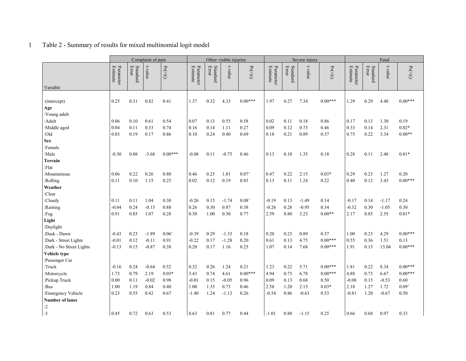# 1 Table 2 - Summary of results for mixed multinomial logit model

|                          |                              |                   | Complaint of pain |                       |                       |                   | Other visible injuries |               |                              |                   | Severe injury |                       | Fatal                        |                   |         |                      |
|--------------------------|------------------------------|-------------------|-------------------|-----------------------|-----------------------|-------------------|------------------------|---------------|------------------------------|-------------------|---------------|-----------------------|------------------------------|-------------------|---------|----------------------|
| Variable                 | <b>Estimate</b><br>Parameter | Standard<br>Error | t-value           | $\Pr(\geqslant\! t )$ | Parameter<br>Estimate | Standard<br>Error | t-value                | $\Pr(>\! t )$ | Parameter<br><b>Estimate</b> | Standard<br>Error | t-value       | $\Pr(\geqslant\! t )$ | Parameter<br><b>Estimate</b> | Standard<br>Error | t-value | $\Pr(\mathbb{>} t )$ |
|                          |                              |                   |                   |                       |                       |                   |                        |               |                              |                   |               |                       |                              |                   |         |                      |
| : (intercept)            | 0.25                         | 0.31              | 0.82              | 0.41                  | 1.37                  | 0.32              | 4.33                   | $0.00***$     | 1.97                         | 0.27              | 7.34          | $0.00***$             | 1.29                         | 0.29              | 4.48    | $0.00***$            |
| Age                      |                              |                   |                   |                       |                       |                   |                        |               |                              |                   |               |                       |                              |                   |         |                      |
| :Young adult             |                              |                   |                   |                       |                       |                   |                        |               |                              |                   |               |                       |                              |                   |         |                      |
| :Adult                   | 0.06                         | 0.10              | 0.61              | 0.54                  | 0.07                  | 0.13              | 0.55                   | 0.58          | 0.02                         | 0.11              | 0.18          | 0.86                  | 0.17                         | 0.13              | 1.30    | 0.19                 |
| :Middle aged             | 0.04                         | 0.11              | 0.33              | 0.74                  | 0.16                  | 0.14              | 1.11                   | 0.27          | 0.09                         | 0.12              | 0.73          | 0.46                  | 0.33                         | 0.14              | 2.31    | $0.02*$              |
| :Old                     | 0.03                         | 0.19              | 0.17              | 0.86                  | 0.10                  | 0.24              | 0.40                   | 0.69          | 0.18                         | 0.21              | 0.89          | 0.37                  | 0.75                         | 0.22              | 3.34    | $0.00**$             |
| <b>Sex</b>               |                              |                   |                   |                       |                       |                   |                        |               |                              |                   |               |                       |                              |                   |         |                      |
| :Female                  |                              |                   |                   |                       |                       |                   |                        |               |                              |                   |               |                       |                              |                   |         |                      |
| :Male                    | $-0.30$                      | 0.08              | $-3.68$           | $0.00***$             | $-0.08$               | 0.11              | $-0.75$                | 0.46          | 0.13                         | 0.10              | 1.35          | 0.18                  | 0.28                         | 0.11              | 2.48    | $0.01*$              |
| <b>Terrain</b>           |                              |                   |                   |                       |                       |                   |                        |               |                              |                   |               |                       |                              |                   |         |                      |
| :Flat                    |                              |                   |                   |                       |                       |                   |                        |               |                              |                   |               |                       |                              |                   |         |                      |
| :Mountainous             | 0.06                         | 0.22              | 0.26              | 0.80                  | 0.46                  | 0.25              | 1.81                   | 0.07          | 0.47                         | 0.22              | 2.15          | $0.03*$               | 0.29                         | 0.23              | 1.27    | 0.20                 |
| :Rolling                 | 0.11                         | 0.10              | 1.15              | 0.25                  | 0.02                  | 0.12              | 0.19                   | 0.85          | 0.13                         | 0.11              | 1.24          | 0.22                  | 0.40                         | 0.12              | 3.43    | $0.00***$            |
| Weather                  |                              |                   |                   |                       |                       |                   |                        |               |                              |                   |               |                       |                              |                   |         |                      |
| :Clear                   |                              |                   |                   |                       |                       |                   |                        |               |                              |                   |               |                       |                              |                   |         |                      |
| :Cloudy                  | 0.11                         | 0.11              | 1.04              | 0.30                  | $-0.26$               | 0.15              | $-1.74$                | 0.08          | $-0.19$                      | 0.13              | $-1.49$       | 0.14                  | $-0.17$                      | 0.14              | $-1.17$ | 0.24                 |
| :Raining                 | $-0.04$                      | 0.24              | $-0.15$           | 0.88                  | 0.26                  | 0.30              | 0.87                   | 0.38          | $-0.26$                      | 0.28              | $-0.95$       | 0.34                  | $-0.32$                      | 0.30              | $-1.05$ | 0.30                 |
| :Fog                     | 0.91                         | 0.85              | 1.07              | 0.28                  | 0.30                  | 1.00              | 0.30                   | 0.77          | 2.59                         | 0.80              | 3.23          | $0.00**$              | 2.17                         | 0.85              | 2.55    | $0.01*$              |
| Light                    |                              |                   |                   |                       |                       |                   |                        |               |                              |                   |               |                       |                              |                   |         |                      |
| :Daylight                |                              |                   |                   |                       |                       |                   |                        |               |                              |                   |               |                       |                              |                   |         |                      |
| :Dusk - Dawn             | $-0.43$                      | 0.23              | $-1.89$           | 0.06                  | $-0.39$               | 0.29              | $-1.33$                | 0.18          | 0.20                         | 0.23              | 0.89          | 0.37                  | 1.00                         | 0.23              | 4.29    | $0.00***$            |
| :Dark - Street Lights    | $-0.01$                      | 0.12              | $-0.11$           | 0.91                  | $-0.22$               | 0.17              | $-1.28$                | 0.20          | 0.61                         | 0.13              | 4.75          | $0.00***$             | 0.55                         | 0.36              | 1.51    | 0.13                 |
| :Dark - No Street Lights | $-0.13$                      | 0.15              | $-0.87$           | 0.38                  | 0.20                  | 0.17              | 1.16                   | 0.25          | 1.07                         | 0.14              | 7.68          | $0.00***$             | 1.91                         | 0.15              | 13.04   | $0.00***$            |
| Vehicle type             |                              |                   |                   |                       |                       |                   |                        |               |                              |                   |               |                       |                              |                   |         |                      |
| :Passenger Car           |                              |                   |                   |                       |                       |                   |                        |               |                              |                   |               |                       |                              |                   |         |                      |
| :Truck                   | $-0.16$                      | 0.24              | $-0.64$           | 0.52                  | 0.32                  | 0.26              | 1.24                   | 0.21          | 1.23                         | 0.22              | 5.71          | $0.00***$             | 1.81                         | 0.22              | 8.34    | $0.00***$            |
| :Motorcycle              | 1.73                         | 0.79              | 2.19              | $0.03*$               | 3.43                  | 0.74              | 4.61                   | $0.00***$     | 4.94                         | 0.73              | 6.78          | $0.00***$             | 4.88                         | 0.73              | 6.67    | $0.00***$            |
| :Pickup Truck            | 0.00                         | 0.11              | $-0.02$           | 0.98                  | $-0.01$               | 0.15              | $-0.05$                | 0.96          | 0.09                         | 0.13              | 0.68          | 0.50                  | $-0.08$                      | 0.15              | $-0.53$ | 0.60                 |
| :Bus                     | 1.00                         | 1.19              | 0.84              | 0.40                  | 1.00                  | 1.35              | 0.73                   | 0.46          | 2.58                         | 1.20              | 2.15          | $0.03*$               | 2.18                         | 1.27              | 1.72    | 0.09'                |
| :Emergency Vehicle       | 0.23                         | 0.55              | 0.42              | 0.67                  | $-1.40$               | 1.24              | $-1.13$                | 0.26          | $-0.54$                      | 0.86              | $-0.63$       | 0.53                  | $-0.81$                      | 1.20              | $-0.67$ | 0.50                 |
| <b>Number of lanes</b>   |                              |                   |                   |                       |                       |                   |                        |               |                              |                   |               |                       |                              |                   |         |                      |
| :2                       |                              |                   |                   |                       |                       |                   |                        |               |                              |                   |               |                       |                              |                   |         |                      |
| :3                       | 0.45                         | 0.72              | 0.63              | 0.53                  | 0.63                  | 0.81              | 0.77                   | 0.44          | $-1.01$                      | 0.88              | $-1.15$       | 0.25                  | 0.66                         | 0.68              | 0.97    | 0.33                 |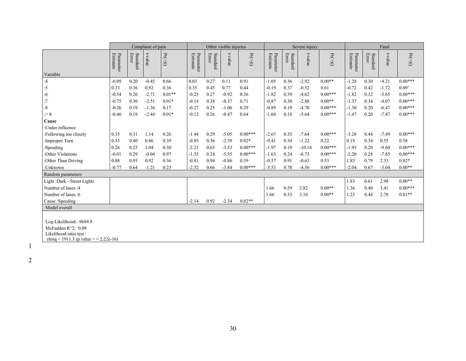|                                                                                                                        |                       |                   | Complaint of pain |                            |                       |                   | Other visible injuries |                       |                       |                   | Severe injury |                       | Fatal                        |                   |         |               |
|------------------------------------------------------------------------------------------------------------------------|-----------------------|-------------------|-------------------|----------------------------|-----------------------|-------------------|------------------------|-----------------------|-----------------------|-------------------|---------------|-----------------------|------------------------------|-------------------|---------|---------------|
|                                                                                                                        | Estimate<br>Parameter | Standard<br>Error | t-value           | $\Pr(\geqslant\mid t\mid)$ | Estimate<br>Parameter | Standard<br>Error | t-value                | $\Pr(\geqslant\! t )$ | Estimate<br>Parameter | Standard<br>Error | t-value       | $\Pr(\geqslant\! t )$ | Parameter<br><b>Estimate</b> | Standard<br>Error | t-value | $\Pr(>\! t )$ |
| Variable<br>:4                                                                                                         | $-0.09$               | 0.20              | $-0.45$           | 0.66                       | 0.03                  | 0.27              | 0.11                   | 0.91                  | $-1.05$               | 0.36              | $-2.92$       | $0.00**$              | $-1.28$                      | 0.30              | $-4.21$ | $0.00***$     |
|                                                                                                                        | 0.33                  | 0.36              | 0.92              | 0.36                       | 0.35                  | 0.45              | 0.77                   | 0.44                  | $-0.19$               | 0.37              | $-0.52$       | 0.61                  | $-0.72$                      | 0.42              | $-1.72$ | 0.09          |
| :5<br>:6                                                                                                               | $-0.54$               | 0.20              | $-2.71$           | $0.01**$                   | $-0.25$               | 0.27              | $-0.92$                | 0.36                  | $-1.82$               | 0.39              | $-4.62$       | $0.00***$             | $-1.82$                      | 0.32              | $-5.65$ | $0.00***$     |
| :7                                                                                                                     | $-0.75$               | 0.30              | $-2.51$           | $0.01*$                    | $-0.14$               | 0.38              | $-0.37$                | 0.71                  | $-0.87$               | 0.30              | $-2.88$       | $0.00**$              | $-1.37$                      | 0.34              | $-4.07$ | $0.00***$     |
| $\cdot 8$                                                                                                              | $-0.26$               | 0.19              | $-1.36$           | 0.17                       | $-0.27$               | 0.25              | $-1.06$                | 0.29                  | $-0.89$               | 0.19              | $-4.70$       | $0.00***$             | $-1.30$                      | 0.20              | $-6.47$ | $0.00***$     |
| > 8                                                                                                                    | $-0.46$               | 0.19              | $-2.44$           | $0.01*$                    | $-0.12$               | 0.26              | $-0.47$                | 0.64                  | $-1.04$               | 0.18              | $-5.64$       | $0.00***$             | $-1.47$                      | 0.20              | $-7.47$ | $0.00***$     |
| Cause                                                                                                                  |                       |                   |                   |                            |                       |                   |                        |                       |                       |                   |               |                       |                              |                   |         |               |
| :Under influence                                                                                                       |                       |                   |                   |                            |                       |                   |                        |                       |                       |                   |               |                       |                              |                   |         |               |
| :Following too closely                                                                                                 | 0.35                  | 0.31              | 1.14              | 0.26                       | $-1.44$               | 0.29              | $-5.05$                | $0.00***$             | $-2.67$               | 0.35              | $-7.64$       | $0.00***$             | $-3.28$                      | 0.44              | $-7.49$ | $0.00***$     |
| Improper Turn                                                                                                          | 0.35                  | 0.40              | 0.86              | 0.39                       | $-0.85$               | 0.36              | $-2.39$                | $0.02*$               | $-0.41$               | 0.34              | $-1.22$       | 0.22                  | 0.19                         | 0.34              | 0.55    | 0.58          |
| :Speeding                                                                                                              | 0.26                  | 0.25              | 1.04              | 0.30                       | $-2.21$               | 0.63              | $-3.53$                | $0.00***$             | $-1.97$               | 0.19              | $-10.14$      | $0.00***$             | $-1.95$                      | 0.20              | $-9.60$ | $0.00***$     |
| :Other Violations                                                                                                      | $-0.01$               | 0.29              | $-0.04$           | 0.97                       | $-1.35$               | 0.24              | $-5.55$                | $0.00***$             | $-1.63$               | 0.24              | $-6.73$       | $0.00***$             | $-2.20$                      | 0.28              | $-7.85$ | $0.00***$     |
| :Other Than Driving                                                                                                    | 0.88                  | 0.95              | 0.92              | 0.36                       | $-0.81$               | 0.94              | $-0.86$                | 0.39                  | $-0.57$               | 0.91              | $-0.63$       | 0.53                  | 1.83                         | 0.79              | 2.33    | $0.02*$       |
| :Unknown                                                                                                               | $-0.77$               | 0.64              | $-1.21$           | 0.23                       | $-2.52$               | 0.66              | $-3.84$                | $0.00***$             | $-3.53$               | 0.78              | $-4.56$       | $0.00***$             | $-2.04$                      | 0.67              | $-3.04$ | $0.00**$      |
| Random parameters                                                                                                      |                       |                   |                   |                            |                       |                   |                        |                       |                       |                   |               |                       |                              |                   |         |               |
| Light :Dark - Street Lights                                                                                            |                       |                   |                   |                            |                       |                   |                        |                       |                       |                   |               |                       | 1.83                         | 0.61              | 2.98    | $0.00**$      |
| Number of lanes :4                                                                                                     |                       |                   |                   |                            |                       |                   |                        |                       | 1.66                  | 0.59              | 2.82          | $0.00**$              | 1.36                         | 0.40              | 3.41    | $0.00***$     |
| Number of lanes: 6                                                                                                     |                       |                   |                   |                            |                       |                   |                        |                       | 1.66                  | 0.53              | 3.10          | $0.00**$              | 1.23                         | 0.44              | 2.78    | $0.01**$      |
| Cause :Speeding                                                                                                        |                       |                   |                   |                            | $-2.14$               | 0.92              | $-2.34$                | $0.02**$              |                       |                   |               |                       |                              |                   |         |               |
| Model overall                                                                                                          |                       |                   |                   |                            |                       |                   |                        |                       |                       |                   |               |                       |                              |                   |         |               |
| Log-Likelihood: -9684.8<br>McFadden $R^2$ : 0.09<br>Likelihood ratio test:<br>chisq = 1911.3 (p. value = $<$ 2.22e-16) |                       |                   |                   |                            |                       |                   |                        |                       |                       |                   |               |                       |                              |                   |         |               |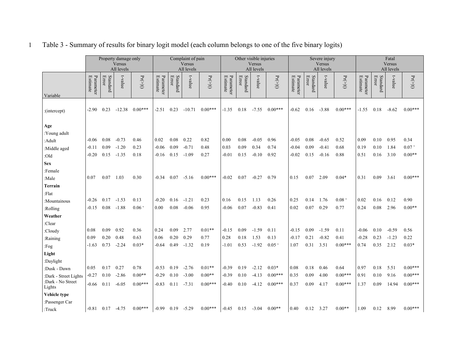|                                                      |                       |                        | Property damage only |                        |                       |                   | Complaint of pain    |                       |                       |                   | Other visible injuries |                        |                       |                   | Severe injury        |                        |                       |                   | Fatal         |                        |
|------------------------------------------------------|-----------------------|------------------------|----------------------|------------------------|-----------------------|-------------------|----------------------|-----------------------|-----------------------|-------------------|------------------------|------------------------|-----------------------|-------------------|----------------------|------------------------|-----------------------|-------------------|---------------|------------------------|
|                                                      |                       |                        | Versus<br>All levels |                        |                       |                   | Versus<br>All levels |                       |                       |                   | Versus<br>All levels   |                        |                       |                   | Versus<br>All levels |                        | Versus<br>All levels  |                   |               |                        |
| Variable                                             | Parameter<br>Estimate | Standard<br>Error      | t-value              | $\Pr(\geqslant\!  t )$ | Estimate<br>Parameter | Standard<br>Error | t-value              | $\Pr(\geqslant\! t )$ | Parameter<br>Estimate | Standard<br>Error | t-value                | $\Pr(\geqslant\! t )$  | Parameter<br>Estimate | Standard<br>Error | t-value              | $\Pr(\geq  t )$        | Parameter<br>Estimate | Standard<br>Error | t-value       | $\Pr(\geqslant\! t )$  |
|                                                      |                       |                        |                      |                        |                       |                   |                      |                       |                       |                   |                        |                        |                       |                   |                      |                        |                       |                   |               |                        |
| :(intercept)                                         | $-2.90$               | 0.23                   | $-12.38$             | $0.00***$              | $-2.51$               | 0.23              | $-10.71$             | $0.00***$             | $-1.35$               | 0.18              | $-7.55$                | $0.00***$              | $-0.62$               | 0.16              | $-3.88$              | $0.00***$              | $-1.55$               | 0.18              | $-8.62$       | $0.00***$              |
|                                                      |                       |                        |                      |                        |                       |                   |                      |                       |                       |                   |                        |                        |                       |                   |                      |                        |                       |                   |               |                        |
| Age                                                  |                       |                        |                      |                        |                       |                   |                      |                       |                       |                   |                        |                        |                       |                   |                      |                        |                       |                   |               |                        |
| :Young adult                                         | -0.06                 | 0.08                   | $-0.73$              | 0.46                   | 0.02                  | 0.08              | 0.22                 | 0.82                  | 0.00                  | 0.08              | $-0.05$                | 0.96                   | $-0.05$               | 0.08              | $-0.65$              | 0.52                   | 0.09                  | 0.10              | 0.95          | 0.34                   |
| :Adult                                               | $-0.11$               | 0.09                   | $-1.20$              | 0.23                   | $-0.06$               | 0.09              | $-0.71$              | 0.48                  | 0.03                  | 0.09              | 0.34                   | 0.74                   | $-0.04$               | 0.09              | $-0.41$              | 0.68                   | 0.19                  | 0.10              | 1.84          | 0.07                   |
| :Middle aged                                         | $-0.20$               | 0.15                   | $-1.35$              | 0.18                   | $-0.16$               | 0.15              | $-1.09$              | 0.27                  | $-0.01$               | 0.15              | $-0.10$                | 0.92                   | $-0.02$               | 0.15              | $-0.16$              | 0.88                   | 0.51                  | 0.16              | 3.10          | $0.00**$               |
| :Old                                                 |                       |                        |                      |                        |                       |                   |                      |                       |                       |                   |                        |                        |                       |                   |                      |                        |                       |                   |               |                        |
| <b>Sex</b>                                           |                       |                        |                      |                        |                       |                   |                      |                       |                       |                   |                        |                        |                       |                   |                      |                        |                       |                   |               |                        |
| :Female                                              | 0.07                  | 0.07                   | 1.03                 | 0.30                   | $-0.34$               | 0.07              | $-5.16$              | $0.00***$             | $-0.02$               | 0.07              | $-0.27$                | 0.79                   | 0.15                  | 0.07              | 2.09                 | $0.04*$                | 0.31                  | 0.09              | 3.61          | $0.00***$              |
| :Male                                                |                       |                        |                      |                        |                       |                   |                      |                       |                       |                   |                        |                        |                       |                   |                      |                        |                       |                   |               |                        |
| Terrain                                              |                       |                        |                      |                        |                       |                   |                      |                       |                       |                   |                        |                        |                       |                   |                      |                        |                       |                   |               |                        |
| :Flat                                                | $-0.26$               | 0.17                   | $-1.53$              | 0.13                   | $-0.20$               | 0.16              | $-1.21$              | 0.23                  | 0.16                  | 0.15              | 1.13                   | 0.26                   | 0.25                  | 0.14              | 1.76                 | 0.08 <sup>o</sup>      | 0.02                  | 0.16              | 0.12          | 0.90                   |
| :Mountainous                                         |                       |                        |                      | 0.06                   | 0.00                  | 0.08              |                      | 0.95                  |                       | 0.07              |                        | 0.41                   |                       | 0.07              |                      |                        | 0.24                  | 0.08              |               | $0.00**$               |
| :Rolling                                             | $-0.15$               | 0.08                   | $-1.88$              |                        |                       |                   | $-0.06$              |                       | $-0.06$               |                   | $-0.83$                |                        | 0.02                  |                   | 0.29                 | 0.77                   |                       |                   | 2.96          |                        |
| Weather                                              |                       |                        |                      |                        |                       |                   |                      |                       |                       |                   |                        |                        |                       |                   |                      |                        |                       |                   |               |                        |
| :Clear                                               |                       |                        |                      |                        |                       |                   |                      |                       |                       |                   |                        |                        |                       |                   |                      |                        |                       |                   |               |                        |
| :Cloudy                                              | 0.08                  | 0.09                   | 0.92                 | 0.36                   | 0.24                  | 0.09              | 2.77                 | $0.01**$              | $-0.15$               | 0.09              | $-1.59$                | 0.11                   | $-0.15$               | 0.09              | $-1.59$              | 0.11                   | $-0.06$               | 0.10              | $-0.59$       | 0.56                   |
| :Raining                                             | 0.09                  | 0.20                   | 0.48                 | 0.63                   | 0.06                  | 0.20              | 0.29                 | 0.77                  | 0.28                  | 0.18              | 1.53                   | 0.13                   | $-0.17$               | 0.21              | $-0.82$              | 0.41                   | $-0.28$               | 0.23              | $-1.23$       | 0.22                   |
| Fog                                                  | $-1.63$               | 0.73                   | $-2.24$              | $0.03*$                | $-0.64$               | 0.49              | $-1.32$              | 0.19                  | $-1.01$               | 0.53              | $-1.92$                | 0.05                   | 1.07                  | 0.31              | 3.51                 | $0.00***$              | 0.74                  | 0.35              | 2.12          | $0.03*$                |
| Light                                                |                       |                        |                      |                        |                       |                   |                      |                       |                       |                   |                        |                        |                       |                   |                      |                        |                       |                   |               |                        |
| :Daylight                                            |                       |                        |                      |                        |                       |                   |                      |                       |                       |                   |                        |                        |                       |                   |                      |                        |                       |                   |               |                        |
| :Dusk - Dawn                                         | 0.05                  | 0.17                   | 0.27                 | 0.78                   | $-0.53$               | 0.19              | $-2.76$              | $0.01**$              | $-0.39$               | 0.19              | $-2.12$                | $0.03*$                | 0.08                  | 0.18              | 0.46                 | 0.64                   | 0.97                  | 0.18              | 5.51          | $0.00***$              |
| :Dark - Street Lights<br>:Dark - No Street<br>Lights | $-0.27$<br>$-0.66$    | 0.10<br>0.11           | $-2.86$<br>$-6.05$   | $0.00**$<br>$0.00***$  | $-0.29$<br>$-0.83$    | 0.10<br>0.11      | $-3.00$<br>$-7.31$   | $0.00**$<br>$0.00***$ | $-0.39$<br>$-0.40$    | 0.10<br>0.10      | $-4.13$<br>$-4.12$     | $0.00***$<br>$0.00***$ | 0.35<br>0.37          | 0.09<br>0.09      | 4.00<br>4.17         | $0.00***$<br>$0.00***$ | 0.91<br>1.37          | 0.10<br>0.09      | 9.16<br>14.94 | $0.00***$<br>$0.00***$ |
| Vehicle type                                         |                       |                        |                      |                        |                       |                   |                      |                       |                       |                   |                        |                        |                       |                   |                      |                        |                       |                   |               |                        |
|                                                      |                       |                        |                      |                        |                       |                   |                      |                       |                       |                   |                        |                        |                       |                   |                      |                        |                       |                   |               |                        |
| :Passenger Car                                       |                       | $-0.81$ $0.17$ $-4.75$ |                      | $0.00***$              | $-0.99$               |                   | $0.19 - 5.29$        | $0.00***$             | $-0.45$               | 0.15              | $-3.04$                | $0.00**$               | 0.40                  | 0.12              | 3.27                 | $0.00**$               | 1.09                  | 0.12 8.99         |               | $0.00***$              |
| $:$ Truck                                            |                       |                        |                      |                        |                       |                   |                      |                       |                       |                   |                        |                        |                       |                   |                      |                        |                       |                   |               |                        |

1 Table 3 - Summary of results for binary logit model (each column belongs to one of the five binary logits)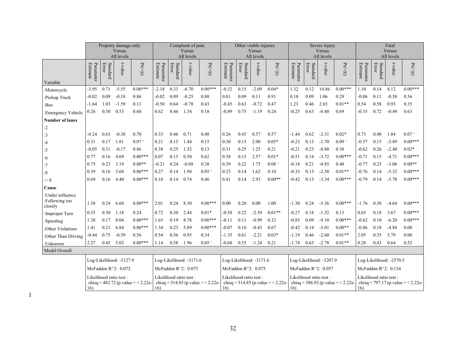|                                               | Property damage only                                                                          |                   |                         | Complaint of pain                                                      |                       |                   | Other visible injuries  |                            |                             |                                         |                                                                                                                                                   |                       | Severe injury         |                   | Fatal                   |                     |                         |          |                      |                    |
|-----------------------------------------------|-----------------------------------------------------------------------------------------------|-------------------|-------------------------|------------------------------------------------------------------------|-----------------------|-------------------|-------------------------|----------------------------|-----------------------------|-----------------------------------------|---------------------------------------------------------------------------------------------------------------------------------------------------|-----------------------|-----------------------|-------------------|-------------------------|---------------------|-------------------------|----------|----------------------|--------------------|
|                                               |                                                                                               |                   | Versus<br>All levels    |                                                                        |                       |                   | Versus<br>All levels    |                            |                             |                                         | <b>Versus</b><br>All levels                                                                                                                       |                       |                       |                   | Versus<br>All levels    |                     |                         |          | Versus<br>All levels |                    |
| Variable                                      | Parameter<br>Estimate                                                                         | Standard<br>Error | t-value                 | $\Pr(\mathbb{>}{\mid} t\!\!\upharpoonright)$                           | Estimate<br>Parameter | Standard<br>Error | t-value                 | $\Pr(\geqslant\mid t\mid)$ | <b>Estimate</b><br>Paramete | Standard<br>Error                       | t-value                                                                                                                                           | $\Pr(\geqslant\! t )$ | Estimate<br>Parameter | Standard<br>Error | t-value                 | $\Pr(>\mid t\mid)$  | Paramete<br>Estimate    | Standard | t-value              | $\Pr(>\mid t\mid)$ |
| :Motorcycle                                   | $-3.95$                                                                                       | 0.71              | $-5.55$                 | $0.00***$                                                              | $-2.18$               | 0.33              | $-6.70$                 | $0.00***$                  | $-0.32$                     | 0.15                                    | $-2.09$                                                                                                                                           | $0.04*$               | 1.32                  | 0.12              | 10.86                   | $0.00***$           | 1.10                    | 0.14     | 8.12                 | $0.00***$          |
| :Pickup Truck                                 | $-0.02$                                                                                       | 0.09              | $-0.18$                 | 0.86                                                                   | $-0.02$               | 0.09              | $-0.25$                 | 0.80                       | 0.01                        | 0.09                                    | 0.11                                                                                                                                              | 0.91                  | 0.10                  | 0.09              | 1.06                    | 0.29                | $-0.06$                 | 0.11     | $-0.58$              | 0.56               |
| :Bus                                          | -1.64                                                                                         | 1.03              | $-1.59$                 | 0.11                                                                   | $-0.50$               | 0.64              | $-0.78$                 | 0.43                       | $-0.45$                     | 0.63                                    | $-0.72$                                                                                                                                           | 0.47                  | 1.23                  | 0.46              | 2.65                    | $0.01**$            | 0.54                    | 0.58     | 0.93                 | 0.35               |
| :Emergency Vehicle                            | 0.26                                                                                          | 0.50              | 0.53                    | 0.60                                                                   | 0.62                  | 0.46              | 1.34                    | 0.18                       | $-0.89$                     | 0.75                                    | $-1.19$                                                                                                                                           | 0.24                  | $-0.25$               | 0.63              | $-0.40$                 | 0.69                | $-0.35$                 | 0.72     | $-0.49$              | 0.63               |
| <b>Number of lanes</b>                        |                                                                                               |                   |                         |                                                                        |                       |                   |                         |                            |                             |                                         |                                                                                                                                                   |                       |                       |                   |                         |                     |                         |          |                      |                    |
| :2                                            |                                                                                               |                   |                         |                                                                        |                       |                   |                         |                            |                             |                                         |                                                                                                                                                   |                       |                       |                   |                         |                     |                         |          |                      |                    |
| :3                                            | $-0.24$                                                                                       | 0.63              | $-0.38$                 | 0.70                                                                   | 0.33                  | 0.46              | 0.71                    | 0.48                       | 0.26                        | 0.45                                    | 0.57                                                                                                                                              | 0.57                  | -1.44                 | 0.62              | $-2.31$                 | $0.02*$             | 0.73                    | 0.40     | 1.84                 | 0.07               |
| :4                                            | 0.31                                                                                          | 0.17              | 1.81                    | 0.07                                                                   | 0.21                  | 0.15              | 1.44                    | 0.15                       | 0.30                        | 0.15                                    | 2.00                                                                                                                                              | $0.05*$               | $-0.23$               | 0.13              | $-1.70$                 | $0.09$ <sup>c</sup> | $-0.57$                 | 0.15     | $-3.89$              | $0.00***$          |
| :5                                            | $-0.05$                                                                                       | 0.31              | $-0.17$                 | 0.86                                                                   | 0.38                  | 0.25              | 1.52                    | 0.13                       | 0.31                        | 0.25                                    | 1.25                                                                                                                                              | 0.21                  | $-0.21$               | 0.23              | $-0.88$                 | 0.38                | $-0.62$                 | 0.26     | $-2.40$              | $0.02*$            |
| :6                                            | 0.77                                                                                          | 0.16              | 4.69                    | $0.00***$                                                              | 0.07                  | 0.15              | 0.50                    | 0.62                       | 0.38                        | 0.15                                    | 2.57                                                                                                                                              | $0.01*$               | $-0.51$               | 0.14              | $-3.72$                 | $0.00***$           | $-0.71$                 | 0.15     | $-4.71$              | $0.00***$          |
| :7                                            | 0.75                                                                                          | 0.23              | 3.19                    | $0.00**$                                                               | $-0.21$               | 0.24              | $-0.88$                 | 0.38                       | 0.39                        | 0.22                                    | 1.75                                                                                                                                              | 0.08                  | $-0.18$               | 0.21              | $-0.85$                 | 0.40                | $-0.77$                 | 0.25     | $-3.06$              | $0.00**$           |
| :8                                            | 0.59                                                                                          | 0.16              | 3.68                    | $0.00***$                                                              | 0.27                  | 0.14              | 1.94                    | 0.05                       | 0.23                        | 0.14                                    | 1.62                                                                                                                                              | 0.10                  | $-0.33$               | 0.13              | $-2.58$                 | $0.01**$            | $-0.76$                 | 0.14     | $-5.32$              | $0.00***$          |
| $\geq 8$                                      | 0.69                                                                                          | 0.16              | 4.40                    | $0.00***$                                                              | 0.10                  | 0.14              | 0.74                    | 0.46                       | 0.41                        | 0.14                                    | 2.93                                                                                                                                              | $0.00**$              | $-0.42$               | 0.13              | $-3.34$                 | $0.00***$           | $-0.79$                 | 0.14     | $-5.70$              | $0.00***$          |
| Cause                                         |                                                                                               |                   |                         |                                                                        |                       |                   |                         |                            |                             |                                         |                                                                                                                                                   |                       |                       |                   |                         |                     |                         |          |                      |                    |
| :Under influence<br>:Following too<br>closely | 1.58                                                                                          | 0.24              | 6.68                    | $0.00***$                                                              | 2.01                  | 0.24              | 8.30                    | $0.00***$                  | 0.00                        | 0.20                                    | 0.00                                                                                                                                              | 1.00                  | $-1.30$               | 0.24              | $-5.36$                 | $0.00***$           | $-1.76$                 | 0.38     | $-4.64$              | $0.00***$          |
| :Improper Turn                                | 0.35                                                                                          | 0.30              | 1.18                    | 0.24                                                                   | 0.72                  | 0.30              | 2.44                    | $0.01*$                    | $-0.58$                     | 0.22                                    | $-2.59$                                                                                                                                           | $0.01**$              | $-0.27$               | 0.18              | $-1.52$                 | 0.13                | 0.65                    | 0.18     | 3.67                 | $0.00***$          |
| :Speeding                                     | 1.38                                                                                          | 0.17              | 8.04                    | $0.00***$                                                              | 1.65                  | 0.19              | 8.78                    | $0.00***$                  | $-0.11$                     | 0.11                                    | $-0.99$                                                                                                                                           | 0.32                  | $-0.85$               | 0.09              | $-9.10$                 | $0.00***$           | $-0.62$                 | 0.10     | $-6.20$              | $0.00***$          |
| :Other Violations                             | 1.41                                                                                          | 0.21              | 6.84                    | $0.00***$                                                              | 1.34                  | 0.23              | 5.89                    | $0.00***$                  | $-0.07$                     | 0.16                                    | $-0.43$                                                                                                                                           | 0.67                  | $-0.42$               | 0.14              | $-3.01$                 | $0.00**$            | $-0.86$                 | 0.18     | $-4.84$              | 0.00               |
| :Other Than Driving                           | $-0.44$                                                                                       | 0.75              | $-0.59$                 | 0.56                                                                   | 0.54                  | 0.56              | 0.95                    | 0.34                       | $-1.35$                     | 0.61                                    | $-2.21$                                                                                                                                           | $0.03*$               | $-1.19$               | 0.46              | $-2.60$                 | $0.01**$            | 2.05                    | 0.35     | 5.79                 | 0.00               |
| :Unknown                                      | 2.27                                                                                          | 0.45              | 5.03                    | $0.00***$                                                              | 1.14                  | 0.58              | 1.96                    | 0.05                       | $-0.68$                     | 0.55                                    | $-1.24$                                                                                                                                           | 0.21                  | $-1.74$               | 0.63              | $-2.78$                 | $0.01**$            | 0.28                    | 0.43     | 0.64                 | 0.52               |
| Model Overall                                 |                                                                                               |                   |                         |                                                                        |                       |                   |                         |                            |                             |                                         |                                                                                                                                                   |                       |                       |                   |                         |                     |                         |          |                      |                    |
|                                               |                                                                                               |                   | Log-Likelihood: -3127.9 |                                                                        |                       |                   | Log-Likelihood: -3171.6 |                            |                             |                                         | Log-Likelihood: -3171.6                                                                                                                           |                       |                       |                   | Log-Likelihood: -3207.9 |                     | Log-Likelihood: -2570.5 |          |                      |                    |
|                                               |                                                                                               |                   |                         |                                                                        |                       |                   | McFadden R^2: 0.075     |                            | McFadden R^2: 0.075         |                                         |                                                                                                                                                   | McFadden R^2: 0.057   |                       |                   |                         | McFadden R^2: 0.134 |                         |          |                      |                    |
|                                               | McFadden R^2: 0.072<br>Likelihood ratio test:<br>chisq = 482.72 (p. value = $<$ 2.22e-<br>16) |                   |                         | Likelihood ratio test:<br>chisq = 514.85 (p.value = $< 2.22$ e-<br>16) |                       |                   | 16)                     | Likelihood ratio test:     |                             | chisq = $514.85$ (p.value = $< 2.22$ e- | Likelihood ratio test:<br>Likelihood ratio test:<br>chisq = 797.17 (p.value = $<$ 2.22e-<br>chisq = $386.92$ (p.value = $< 2.22$ e-<br>16)<br>16) |                       |                       |                   |                         |                     |                         |          |                      |                    |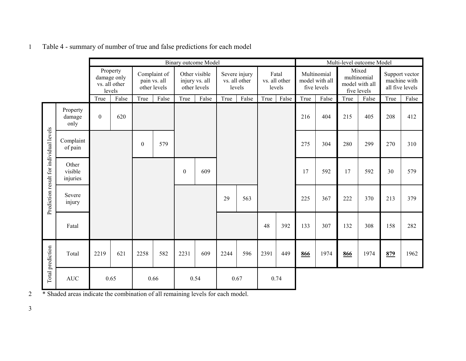|                                         |                              |                  |                                                    |                                              |       |                                                 | <b>Binary outcome Model</b> |                                          |       |                                  |       | Multi-level outcome Model                    |       |                                                       |       |                                                   |       |
|-----------------------------------------|------------------------------|------------------|----------------------------------------------------|----------------------------------------------|-------|-------------------------------------------------|-----------------------------|------------------------------------------|-------|----------------------------------|-------|----------------------------------------------|-------|-------------------------------------------------------|-------|---------------------------------------------------|-------|
|                                         |                              |                  | Property<br>damage only<br>vs. all other<br>levels | Complaint of<br>pain vs. all<br>other levels |       | Other visible<br>injury vs. all<br>other levels |                             | Severe injury<br>vs. all other<br>levels |       | Fatal<br>vs. all other<br>levels |       | Multinomial<br>model with all<br>five levels |       | Mixed<br>multinomial<br>model with all<br>five levels |       | Support vector<br>machine with<br>all five levels |       |
|                                         |                              | True             | False                                              | True                                         | False | True                                            | False                       | True                                     | False | True                             | False | True                                         | False | True                                                  | False | True                                              | False |
|                                         | Property<br>damage<br>only   | $\boldsymbol{0}$ | 620                                                |                                              |       |                                                 |                             |                                          |       |                                  |       | 216                                          | 404   | 215                                                   | 405   | 208                                               | 412   |
|                                         | Complaint<br>of pain         |                  |                                                    | $\boldsymbol{0}$                             | 579   |                                                 |                             |                                          |       |                                  |       | 275                                          | 304   | 280                                                   | 299   | 270                                               | 310   |
|                                         | Other<br>visible<br>injuries |                  |                                                    |                                              |       | $\boldsymbol{0}$                                | 609                         |                                          |       |                                  |       | 17                                           | 592   | 17                                                    | 592   | 30                                                | 579   |
| Prediction result for individual levels | Severe<br>injury             |                  |                                                    |                                              |       |                                                 |                             | 29                                       | 563   |                                  |       | 225                                          | 367   | 222                                                   | 370   | 213                                               | 379   |
|                                         | Fatal                        |                  |                                                    |                                              |       |                                                 |                             |                                          |       | 48                               | 392   | 133                                          | 307   | 132                                                   | 308   | 158                                               | 282   |
| Total prediction                        | Total                        | 2219             | 621                                                | 2258                                         | 582   | 2231                                            | 609                         | 2244                                     | 596   | 2391                             | 449   | 866                                          | 1974  | 866                                                   | 1974  | 879                                               | 1962  |
|                                         | <b>AUC</b>                   |                  | 0.65                                               |                                              | 0.66  |                                                 | 0.54                        |                                          | 0.67  |                                  | 0.74  |                                              |       |                                                       |       |                                                   |       |

1 Table 4 - summary of number of true and false predictions for each model

2 \* Shaded areas indicate the combination of all remaining levels for each model.